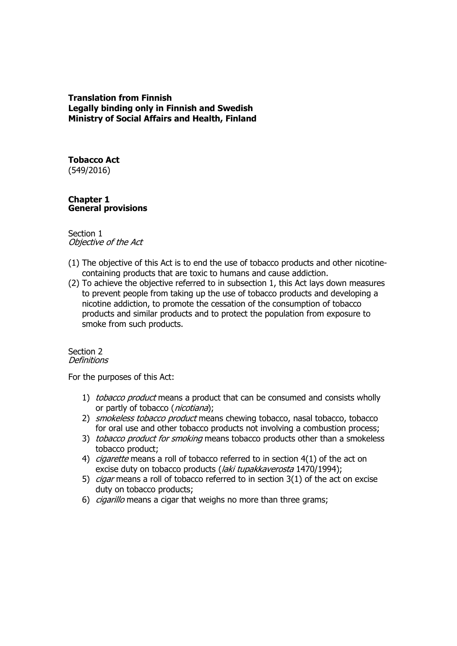## **Translation from Finnish Legally binding only in Finnish and Swedish Ministry of Social Affairs and Health, Finland**

**Tobacco Act** (549/2016)

## **Chapter 1 General provisions**

### Section 1 Objective of the Act

- (1) The objective of this Act is to end the use of tobacco products and other nicotinecontaining products that are toxic to humans and cause addiction.
- (2) To achieve the objective referred to in subsection 1, this Act lays down measures to prevent people from taking up the use of tobacco products and developing a nicotine addiction, to promote the cessation of the consumption of tobacco products and similar products and to protect the population from exposure to smoke from such products.

#### Section 2 **Definitions**

For the purposes of this Act:

- 1) tobacco product means a product that can be consumed and consists wholly or partly of tobacco (*nicotiana*);
- 2) smokeless tobacco product means chewing tobacco, nasal tobacco, tobacco for oral use and other tobacco products not involving a combustion process;
- 3) tobacco product for smoking means tobacco products other than a smokeless tobacco product;
- 4) *cigarette* means a roll of tobacco referred to in section 4(1) of the act on excise duty on tobacco products (*laki tupakkaverosta* 1470/1994);
- 5) *cigar* means a roll of tobacco referred to in section 3(1) of the act on excise duty on tobacco products;
- 6) *cigarillo* means a cigar that weighs no more than three grams;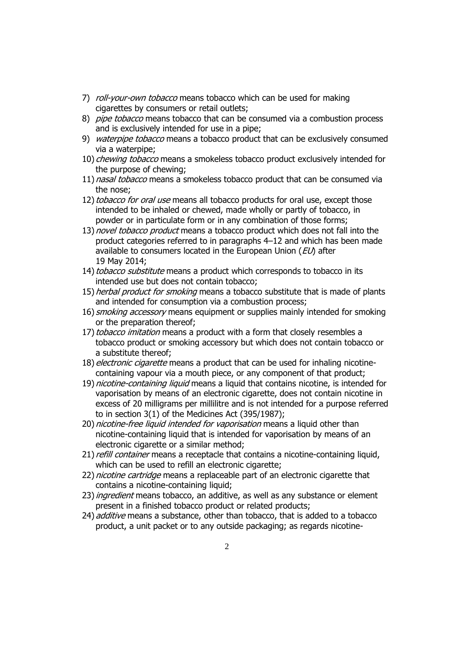- 7) *roll-your-own tobacco* means tobacco which can be used for making cigarettes by consumers or retail outlets;
- 8) *pipe tobacco* means tobacco that can be consumed via a combustion process and is exclusively intended for use in a pipe;
- 9) waterpipe tobacco means a tobacco product that can be exclusively consumed via a waterpipe;
- 10) *chewing tobacco* means a smokeless tobacco product exclusively intended for the purpose of chewing;
- 11) nasal tobacco means a smokeless tobacco product that can be consumed via the nose;
- 12) tobacco for oral use means all tobacco products for oral use, except those intended to be inhaled or chewed, made wholly or partly of tobacco, in powder or in particulate form or in any combination of those forms;
- 13) novel tobacco product means a tobacco product which does not fall into the product categories referred to in paragraphs 4–12 and which has been made available to consumers located in the European Union ( $E$ *U*) after 19 May 2014;
- 14) tobacco substitute means a product which corresponds to tobacco in its intended use but does not contain tobacco;
- 15) *herbal product for smoking* means a tobacco substitute that is made of plants and intended for consumption via a combustion process;
- 16) *smoking accessory* means equipment or supplies mainly intended for smoking or the preparation thereof;
- 17) tobacco imitation means a product with a form that closely resembles a tobacco product or smoking accessory but which does not contain tobacco or a substitute thereof;
- 18) electronic cigarette means a product that can be used for inhaling nicotinecontaining vapour via a mouth piece, or any component of that product;
- 19) *nicotine-containing liquid* means a liquid that contains nicotine, is intended for vaporisation by means of an electronic cigarette, does not contain nicotine in excess of 20 milligrams per millilitre and is not intended for a purpose referred to in section 3(1) of the Medicines Act (395/1987);
- 20) nicotine-free liquid intended for vaporisation means a liquid other than nicotine-containing liquid that is intended for vaporisation by means of an electronic cigarette or a similar method;
- 21) refill container means a receptacle that contains a nicotine-containing liquid, which can be used to refill an electronic cigarette;
- 22) nicotine cartridge means a replaceable part of an electronic cigarette that contains a nicotine-containing liquid;
- 23) *ingredient* means tobacco, an additive, as well as any substance or element present in a finished tobacco product or related products;
- 24) *additive* means a substance, other than tobacco, that is added to a tobacco product, a unit packet or to any outside packaging; as regards nicotine-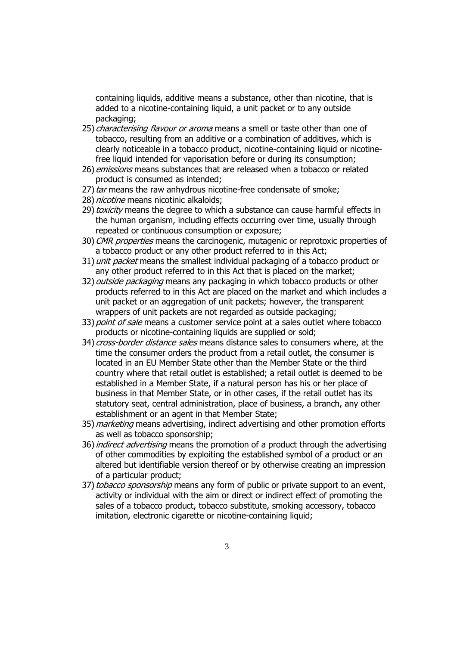containing liquids, additive means a substance, other than nicotine, that is added to a nicotine-containing liquid, a unit packet or to any outside packaging;

- 25) *characterising flavour or aroma* means a smell or taste other than one of tobacco, resulting from an additive or a combination of additives, which is clearly noticeable in a tobacco product, nicotine-containing liquid or nicotinefree liquid intended for vaporisation before or during its consumption;
- 26) *emissions* means substances that are released when a tobacco or related product is consumed as intended;
- 27) tar means the raw anhydrous nicotine-free condensate of smoke;
- 28) *nicotine* means nicotinic alkaloids:
- 29) toxicity means the degree to which a substance can cause harmful effects in the human organism, including effects occurring over time, usually through repeated or continuous consumption or exposure;
- 30) CMR properties means the carcinogenic, mutagenic or reprotoxic properties of a tobacco product or any other product referred to in this Act;
- 31) unit packet means the smallest individual packaging of a tobacco product or any other product referred to in this Act that is placed on the market;
- 32) *outside packaging* means any packaging in which tobacco products or other products referred to in this Act are placed on the market and which includes a unit packet or an aggregation of unit packets; however, the transparent wrappers of unit packets are not regarded as outside packaging;
- 33) point of sale means a customer service point at a sales outlet where tobacco products or nicotine-containing liquids are supplied or sold;
- 34) *cross-border distance sales* means distance sales to consumers where, at the time the consumer orders the product from a retail outlet, the consumer is located in an EU Member State other than the Member State or the third country where that retail outlet is established; a retail outlet is deemed to be established in a Member State, if a natural person has his or her place of business in that Member State, or in other cases, if the retail outlet has its statutory seat, central administration, place of business, a branch, any other establishment or an agent in that Member State;
- 35) *marketing* means advertising, indirect advertising and other promotion efforts as well as tobacco sponsorship;
- 36) *indirect advertising* means the promotion of a product through the advertising of other commodities by exploiting the established symbol of a product or an altered but identifiable version thereof or by otherwise creating an impression of a particular product;
- 37) tobacco sponsorship means any form of public or private support to an event, activity or individual with the aim or direct or indirect effect of promoting the sales of a tobacco product, tobacco substitute, smoking accessory, tobacco imitation, electronic cigarette or nicotine-containing liquid;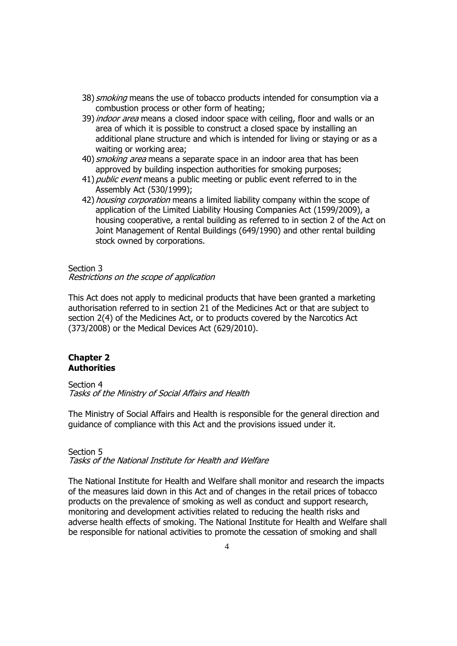- 38) *smoking* means the use of tobacco products intended for consumption via a combustion process or other form of heating;
- 39) *indoor area* means a closed indoor space with ceiling, floor and walls or an area of which it is possible to construct a closed space by installing an additional plane structure and which is intended for living or staying or as a waiting or working area;
- 40) *smoking area* means a separate space in an indoor area that has been approved by building inspection authorities for smoking purposes;
- 41) *public event* means a public meeting or public event referred to in the Assembly Act (530/1999);
- 42) *housing corporation* means a limited liability company within the scope of application of the Limited Liability Housing Companies Act (1599/2009), a housing cooperative, a rental building as referred to in section 2 of the Act on Joint Management of Rental Buildings (649/1990) and other rental building stock owned by corporations.

#### Section 3

#### Restrictions on the scope of application

This Act does not apply to medicinal products that have been granted a marketing authorisation referred to in section 21 of the Medicines Act or that are subject to section 2(4) of the Medicines Act, or to products covered by the Narcotics Act (373/2008) or the Medical Devices Act (629/2010).

### **Chapter 2 Authorities**

#### Section 4 Tasks of the Ministry of Social Affairs and Health

The Ministry of Social Affairs and Health is responsible for the general direction and guidance of compliance with this Act and the provisions issued under it.

#### Section 5 Tasks of the National Institute for Health and Welfare

The National Institute for Health and Welfare shall monitor and research the impacts of the measures laid down in this Act and of changes in the retail prices of tobacco products on the prevalence of smoking as well as conduct and support research, monitoring and development activities related to reducing the health risks and adverse health effects of smoking. The National Institute for Health and Welfare shall be responsible for national activities to promote the cessation of smoking and shall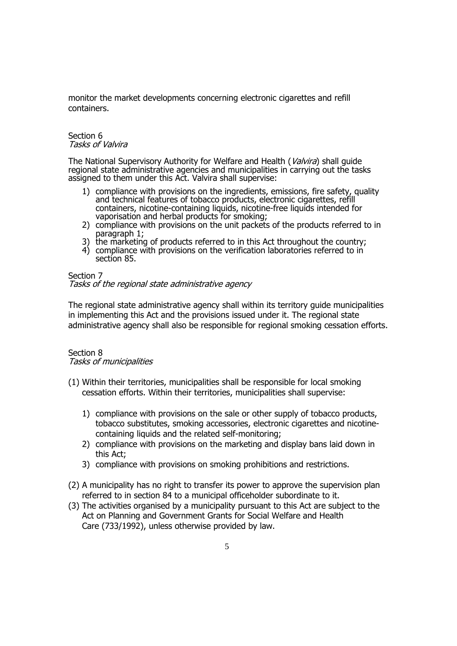monitor the market developments concerning electronic cigarettes and refill containers.

#### Section 6 Tasks of Valvira

The National Supervisory Authority for Welfare and Health (Valvira) shall guide regional state administrative agencies and municipalities in carrying out the tasks assigned to them under this Act. Valvira shall supervise:

- 1) compliance with provisions on the ingredients, emissions, fire safety, quality and technical features of tobacco products, electronic cigarettes, refill containers, nicotine-containing liquids, nicotine-free liquids intended for vaporisation and herbal products for smoking;
- 2) compliance with provisions on the unit packets of the products referred to in paragraph 1;
- 3) the marketing of products referred to in this Act throughout the country;
- 4) compliance with provisions on the verification laboratories referred to in section 85.

#### Section 7 Tasks of the regional state administrative agency

The regional state administrative agency shall within its territory guide municipalities in implementing this Act and the provisions issued under it. The regional state administrative agency shall also be responsible for regional smoking cessation efforts.

## Section 8 Tasks of municipalities

- (1) Within their territories, municipalities shall be responsible for local smoking cessation efforts. Within their territories, municipalities shall supervise:
	- 1) compliance with provisions on the sale or other supply of tobacco products, tobacco substitutes, smoking accessories, electronic cigarettes and nicotinecontaining liquids and the related self-monitoring;
	- 2) compliance with provisions on the marketing and display bans laid down in this Act;
	- 3) compliance with provisions on smoking prohibitions and restrictions.
- (2) A municipality has no right to transfer its power to approve the supervision plan referred to in section 84 to a municipal officeholder subordinate to it.
- (3) The activities organised by a municipality pursuant to this Act are subject to the Act on Planning and Government Grants for Social Welfare and Health Care (733/1992), unless otherwise provided by law.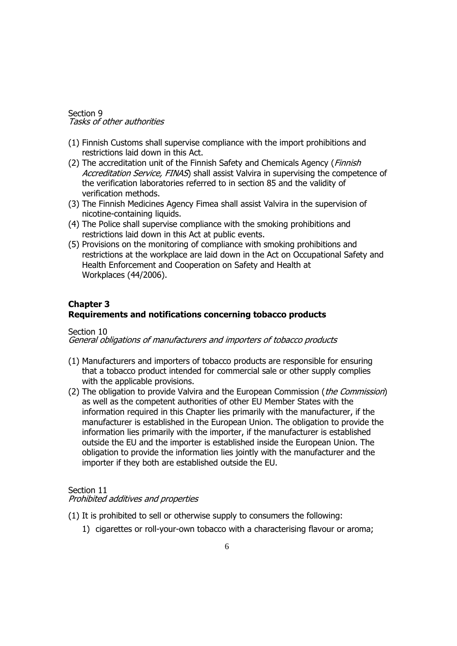#### Section 9 Tasks of other authorities

- (1) Finnish Customs shall supervise compliance with the import prohibitions and restrictions laid down in this Act.
- (2) The accreditation unit of the Finnish Safety and Chemicals Agency (Finnish Accreditation Service, FINAS) shall assist Valvira in supervising the competence of the verification laboratories referred to in section 85 and the validity of verification methods.
- (3) The Finnish Medicines Agency Fimea shall assist Valvira in the supervision of nicotine-containing liquids.
- (4) The Police shall supervise compliance with the smoking prohibitions and restrictions laid down in this Act at public events.
- (5) Provisions on the monitoring of compliance with smoking prohibitions and restrictions at the workplace are laid down in the Act on Occupational Safety and Health Enforcement and Cooperation on Safety and Health at Workplaces (44/2006).

## **Chapter 3 Requirements and notifications concerning tobacco products**

#### Section 10

General obligations of manufacturers and importers of tobacco products

- (1) Manufacturers and importers of tobacco products are responsible for ensuring that a tobacco product intended for commercial sale or other supply complies with the applicable provisions.
- (2) The obligation to provide Valvira and the European Commission (*the Commission*) as well as the competent authorities of other EU Member States with the information required in this Chapter lies primarily with the manufacturer, if the manufacturer is established in the European Union. The obligation to provide the information lies primarily with the importer, if the manufacturer is established outside the EU and the importer is established inside the European Union. The obligation to provide the information lies jointly with the manufacturer and the importer if they both are established outside the EU.

## Section 11

#### Prohibited additives and properties

(1) It is prohibited to sell or otherwise supply to consumers the following:

1) cigarettes or roll-your-own tobacco with a characterising flavour or aroma;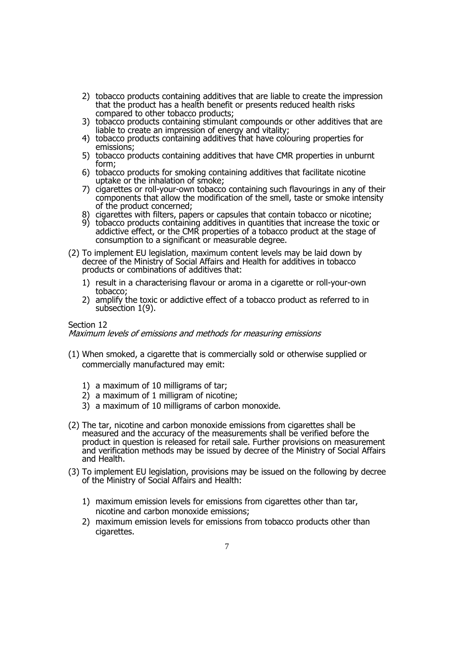- 2) tobacco products containing additives that are liable to create the impression that the product has a health benefit or presents reduced health risks compared to other tobacco products;
- 3) tobacco products containing stimulant compounds or other additives that are liable to create an impression of energy and vitality;
- 4) tobacco products containing additives that have colouring properties for emissions;
- 5) tobacco products containing additives that have CMR properties in unburnt form;
- 6) tobacco products for smoking containing additives that facilitate nicotine uptake or the inhalation of smoke;
- 7) cigarettes or roll-your-own tobacco containing such flavourings in any of their components that allow the modification of the smell, taste or smoke intensity of the product concerned;
- 8) cigarettes with filters, papers or capsules that contain tobacco or nicotine;
- 9) tobacco products containing additives in quantities that increase the toxic or addictive effect, or the CMR properties of a tobacco product at the stage of consumption to a significant or measurable degree.
- (2) To implement EU legislation, maximum content levels may be laid down by decree of the Ministry of Social Affairs and Health for additives in tobacco products or combinations of additives that:
	- 1) result in a characterising flavour or aroma in a cigarette or roll-your-own tobacco;
	- 2) amplify the toxic or addictive effect of a tobacco product as referred to in subsection 1(9).

### Section 12

Maximum levels of emissions and methods for measuring emissions

- (1) When smoked, a cigarette that is commercially sold or otherwise supplied or commercially manufactured may emit:
	- 1) a maximum of 10 milligrams of tar;
	- 2) a maximum of 1 milligram of nicotine;
	- 3) a maximum of 10 milligrams of carbon monoxide.
- (2) The tar, nicotine and carbon monoxide emissions from cigarettes shall be measured and the accuracy of the measurements shall be verified before the product in question is released for retail sale. Further provisions on measurement and verification methods may be issued by decree of the Ministry of Social Affairs and Health.
- (3) To implement EU legislation, provisions may be issued on the following by decree of the Ministry of Social Affairs and Health:
	- 1) maximum emission levels for emissions from cigarettes other than tar, nicotine and carbon monoxide emissions;
	- 2) maximum emission levels for emissions from tobacco products other than cigarettes.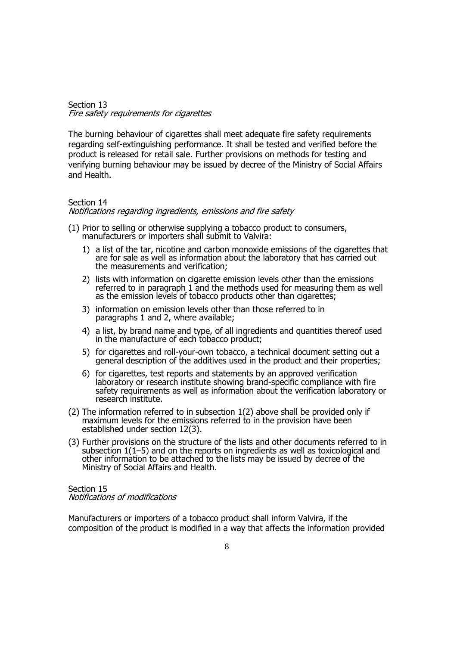#### Section 13 Fire safety requirements for cigarettes

The burning behaviour of cigarettes shall meet adequate fire safety requirements regarding self-extinguishing performance. It shall be tested and verified before the product is released for retail sale. Further provisions on methods for testing and verifying burning behaviour may be issued by decree of the Ministry of Social Affairs and Health.

## Section 14

#### Notifications regarding ingredients, emissions and fire safety

- (1) Prior to selling or otherwise supplying a tobacco product to consumers, manufacturers or importers shall submit to Valvira:
	- 1) a list of the tar, nicotine and carbon monoxide emissions of the cigarettes that are for sale as well as information about the laboratory that has carried out the measurements and verification;
	- 2) lists with information on cigarette emission levels other than the emissions referred to in paragraph 1 and the methods used for measuring them as well as the emission levels of tobacco products other than cigarettes;
	- 3) information on emission levels other than those referred to in paragraphs 1 and 2, where available;
	- 4) a list, by brand name and type, of all ingredients and quantities thereof used in the manufacture of each tobacco product;
	- 5) for cigarettes and roll-your-own tobacco, a technical document setting out a general description of the additives used in the product and their properties;
	- 6) for cigarettes, test reports and statements by an approved verification laboratory or research institute showing brand-specific compliance with fire safety requirements as well as information about the verification laboratory or research institute.
- (2) The information referred to in subsection 1(2) above shall be provided only if maximum levels for the emissions referred to in the provision have been established under section 12(3).
- (3) Further provisions on the structure of the lists and other documents referred to in subsection 1(1–5) and on the reports on ingredients as well as toxicological and other information to be attached to the lists may be issued by decree of the Ministry of Social Affairs and Health.

Section 15 Notifications of modifications

Manufacturers or importers of a tobacco product shall inform Valvira, if the composition of the product is modified in a way that affects the information provided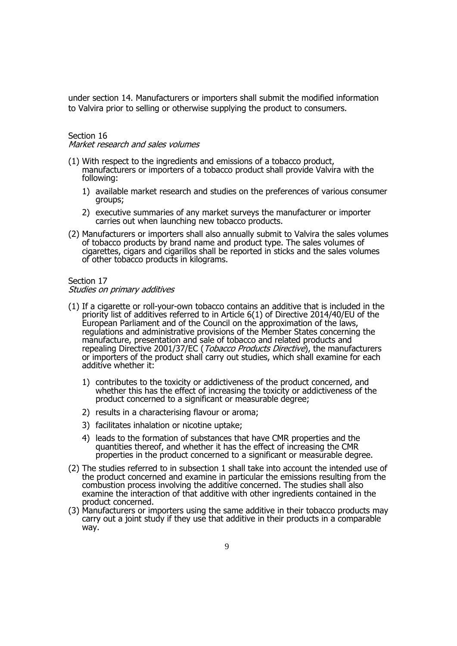under section 14. Manufacturers or importers shall submit the modified information to Valvira prior to selling or otherwise supplying the product to consumers.

## Section 16

Market research and sales volumes

- (1) With respect to the ingredients and emissions of a tobacco product, manufacturers or importers of a tobacco product shall provide Valvira with the following:
	- 1) available market research and studies on the preferences of various consumer groups;
	- 2) executive summaries of any market surveys the manufacturer or importer carries out when launching new tobacco products.
- (2) Manufacturers or importers shall also annually submit to Valvira the sales volumes of tobacco products by brand name and product type. The sales volumes of cigarettes, cigars and cigarillos shall be reported in sticks and the sales volumes of other tobacco products in kilograms.

#### Section 17 Studies on primary additives

- (1) If a cigarette or roll-your-own tobacco contains an additive that is included in the priority list of additives referred to in Article 6(1) of Directive 2014/40/EU of the European Parliament and of the Council on the approximation of the laws, regulations and administrative provisions of the Member States concerning the manufacture, presentation and sale of tobacco and related products and repealing Directive 2001/37/EC (*Tobacco Products Directive*), the manufacturers or importers of the product shall carry out studies, which shall examine for each additive whether it:
	- 1) contributes to the toxicity or addictiveness of the product concerned, and whether this has the effect of increasing the toxicity or addictiveness of the product concerned to a significant or measurable degree;
	- 2) results in a characterising flavour or aroma;
	- 3) facilitates inhalation or nicotine uptake;
	- 4) leads to the formation of substances that have CMR properties and the quantities thereof, and whether it has the effect of increasing the CMR properties in the product concerned to a significant or measurable degree.
- (2) The studies referred to in subsection 1 shall take into account the intended use of the product concerned and examine in particular the emissions resulting from the combustion process involving the additive concerned. The studies shall also examine the interaction of that additive with other ingredients contained in the product concerned.
- (3) Manufacturers or importers using the same additive in their tobacco products may carry out a joint study if they use that additive in their products in a comparable way.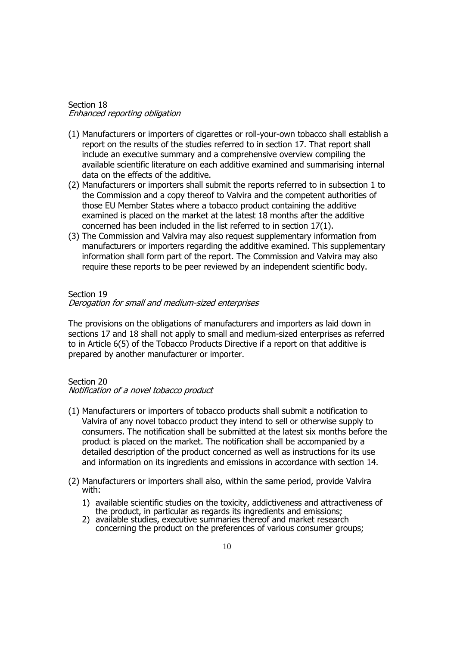#### Section 18 Enhanced reporting obligation

- (1) Manufacturers or importers of cigarettes or roll-your-own tobacco shall establish a report on the results of the studies referred to in section 17. That report shall include an executive summary and a comprehensive overview compiling the available scientific literature on each additive examined and summarising internal data on the effects of the additive.
- (2) Manufacturers or importers shall submit the reports referred to in subsection 1 to the Commission and a copy thereof to Valvira and the competent authorities of those EU Member States where a tobacco product containing the additive examined is placed on the market at the latest 18 months after the additive concerned has been included in the list referred to in section 17(1).
- (3) The Commission and Valvira may also request supplementary information from manufacturers or importers regarding the additive examined. This supplementary information shall form part of the report. The Commission and Valvira may also require these reports to be peer reviewed by an independent scientific body.

#### Section 19

#### Derogation for small and medium-sized enterprises

The provisions on the obligations of manufacturers and importers as laid down in sections 17 and 18 shall not apply to small and medium-sized enterprises as referred to in Article 6(5) of the Tobacco Products Directive if a report on that additive is prepared by another manufacturer or importer.

#### Section 20

#### Notification of a novel tobacco product

- (1) Manufacturers or importers of tobacco products shall submit a notification to Valvira of any novel tobacco product they intend to sell or otherwise supply to consumers. The notification shall be submitted at the latest six months before the product is placed on the market. The notification shall be accompanied by a detailed description of the product concerned as well as instructions for its use and information on its ingredients and emissions in accordance with section 14.
- (2) Manufacturers or importers shall also, within the same period, provide Valvira with:
	- 1) available scientific studies on the toxicity, addictiveness and attractiveness of the product, in particular as regards its ingredients and emissions;
	- 2) available studies, executive summaries thereof and market research concerning the product on the preferences of various consumer groups;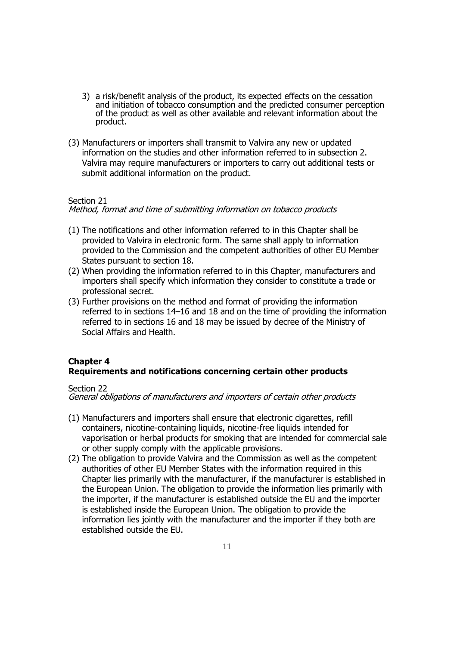- 3) a risk/benefit analysis of the product, its expected effects on the cessation and initiation of tobacco consumption and the predicted consumer perception of the product as well as other available and relevant information about the product.
- (3) Manufacturers or importers shall transmit to Valvira any new or updated information on the studies and other information referred to in subsection 2. Valvira may require manufacturers or importers to carry out additional tests or submit additional information on the product.

## Section 21

Method, format and time of submitting information on tobacco products

- (1) The notifications and other information referred to in this Chapter shall be provided to Valvira in electronic form. The same shall apply to information provided to the Commission and the competent authorities of other EU Member States pursuant to section 18.
- (2) When providing the information referred to in this Chapter, manufacturers and importers shall specify which information they consider to constitute a trade or professional secret.
- (3) Further provisions on the method and format of providing the information referred to in sections 14–16 and 18 and on the time of providing the information referred to in sections 16 and 18 may be issued by decree of the Ministry of Social Affairs and Health.

# **Chapter 4 Requirements and notifications concerning certain other products**

#### Section 22

General obligations of manufacturers and importers of certain other products

- (1) Manufacturers and importers shall ensure that electronic cigarettes, refill containers, nicotine-containing liquids, nicotine-free liquids intended for vaporisation or herbal products for smoking that are intended for commercial sale or other supply comply with the applicable provisions.
- (2) The obligation to provide Valvira and the Commission as well as the competent authorities of other EU Member States with the information required in this Chapter lies primarily with the manufacturer, if the manufacturer is established in the European Union. The obligation to provide the information lies primarily with the importer, if the manufacturer is established outside the EU and the importer is established inside the European Union. The obligation to provide the information lies jointly with the manufacturer and the importer if they both are established outside the EU.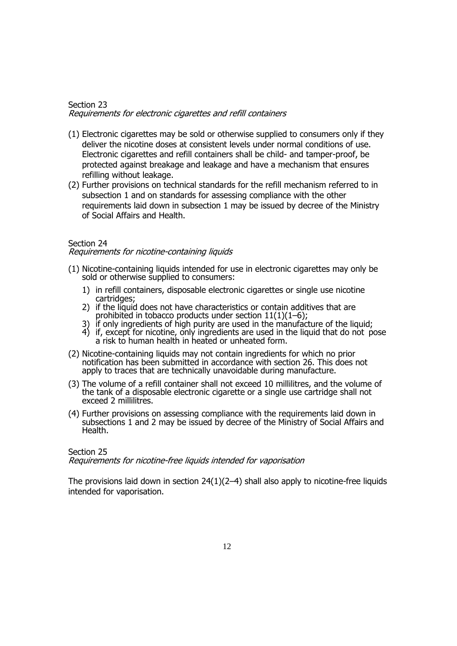#### Section 23 Requirements for electronic cigarettes and refill containers

- (1) Electronic cigarettes may be sold or otherwise supplied to consumers only if they deliver the nicotine doses at consistent levels under normal conditions of use. Electronic cigarettes and refill containers shall be child- and tamper-proof, be protected against breakage and leakage and have a mechanism that ensures refilling without leakage.
- (2) Further provisions on technical standards for the refill mechanism referred to in subsection 1 and on standards for assessing compliance with the other requirements laid down in subsection 1 may be issued by decree of the Ministry of Social Affairs and Health.

## Section 24

#### Requirements for nicotine-containing liquids

- (1) Nicotine-containing liquids intended for use in electronic cigarettes may only be sold or otherwise supplied to consumers:
	- 1) in refill containers, disposable electronic cigarettes or single use nicotine cartridges;
	- 2) if the liquid does not have characteristics or contain additives that are prohibited in tobacco products under section 11(1)(1–6);
	- 3) if only ingredients of high purity are used in the manufacture of the liquid;
	- 4) if, except for nicotine, only ingredients are used in the liquid that do not pose a risk to human health in heated or unheated form.
- (2) Nicotine-containing liquids may not contain ingredients for which no prior notification has been submitted in accordance with section 26. This does not apply to traces that are technically unavoidable during manufacture.
- (3) The volume of a refill container shall not exceed 10 millilitres, and the volume of the tank of a disposable electronic cigarette or a single use cartridge shall not exceed 2 millilitres.
- (4) Further provisions on assessing compliance with the requirements laid down in subsections 1 and 2 may be issued by decree of the Ministry of Social Affairs and Health.

#### Section 25 Requirements for nicotine-free liquids intended for vaporisation

The provisions laid down in section 24(1)(2–4) shall also apply to nicotine-free liquids intended for vaporisation.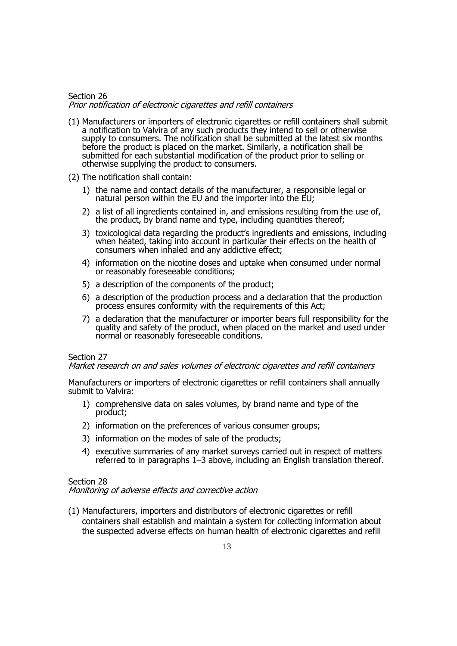#### Section 26 Prior notification of electronic cigarettes and refill containers

- (1) Manufacturers or importers of electronic cigarettes or refill containers shall submit a notification to Valvira of any such products they intend to sell or otherwise supply to consumers. The notification shall be submitted at the latest six months before the product is placed on the market. Similarly, a notification shall be submitted for each substantial modification of the product prior to selling or otherwise supplying the product to consumers.
- (2) The notification shall contain:
	- 1) the name and contact details of the manufacturer, a responsible legal or natural person within the EU and the importer into the  $E$ U;
	- 2) a list of all ingredients contained in, and emissions resulting from the use of, the product, by brand name and type, including quantities thereof;
	- 3) toxicological data regarding the product's ingredients and emissions, including when heated, taking into account in particular their effects on the health of consumers when inhaled and any addictive effect;
	- 4) information on the nicotine doses and uptake when consumed under normal or reasonably foreseeable conditions;
	- 5) a description of the components of the product;
	- 6) a description of the production process and a declaration that the production process ensures conformity with the requirements of this Act;
	- 7) a declaration that the manufacturer or importer bears full responsibility for the quality and safety of the product, when placed on the market and used under normal or reasonably foreseeable conditions.

## Section 27

Market research on and sales volumes of electronic cigarettes and refill containers

Manufacturers or importers of electronic cigarettes or refill containers shall annually submit to Valvira:

- 1) comprehensive data on sales volumes, by brand name and type of the product;
- 2) information on the preferences of various consumer groups;
- 3) information on the modes of sale of the products;
- 4) executive summaries of any market surveys carried out in respect of matters referred to in paragraphs 1–3 above, including an English translation thereof.

#### Section 28

Monitoring of adverse effects and corrective action

(1) Manufacturers, importers and distributors of electronic cigarettes or refill containers shall establish and maintain a system for collecting information about the suspected adverse effects on human health of electronic cigarettes and refill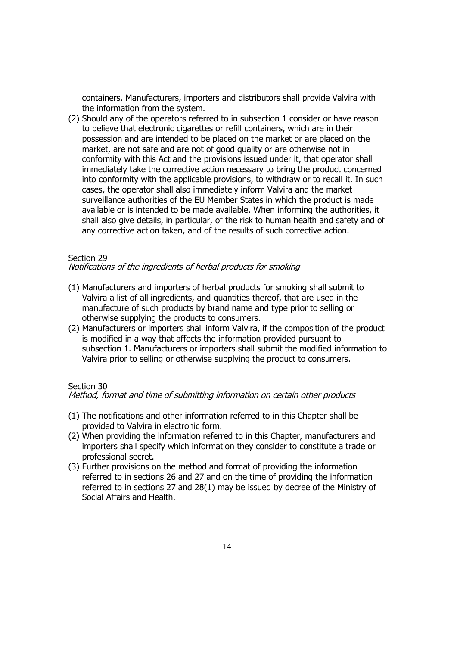containers. Manufacturers, importers and distributors shall provide Valvira with the information from the system.

(2) Should any of the operators referred to in subsection 1 consider or have reason to believe that electronic cigarettes or refill containers, which are in their possession and are intended to be placed on the market or are placed on the market, are not safe and are not of good quality or are otherwise not in conformity with this Act and the provisions issued under it, that operator shall immediately take the corrective action necessary to bring the product concerned into conformity with the applicable provisions, to withdraw or to recall it. In such cases, the operator shall also immediately inform Valvira and the market surveillance authorities of the EU Member States in which the product is made available or is intended to be made available. When informing the authorities, it shall also give details, in particular, of the risk to human health and safety and of any corrective action taken, and of the results of such corrective action.

#### Section 29

## Notifications of the ingredients of herbal products for smoking

- (1) Manufacturers and importers of herbal products for smoking shall submit to Valvira a list of all ingredients, and quantities thereof, that are used in the manufacture of such products by brand name and type prior to selling or otherwise supplying the products to consumers.
- (2) Manufacturers or importers shall inform Valvira, if the composition of the product is modified in a way that affects the information provided pursuant to subsection 1. Manufacturers or importers shall submit the modified information to Valvira prior to selling or otherwise supplying the product to consumers.

#### Section 30

#### Method, format and time of submitting information on certain other products

- (1) The notifications and other information referred to in this Chapter shall be provided to Valvira in electronic form.
- (2) When providing the information referred to in this Chapter, manufacturers and importers shall specify which information they consider to constitute a trade or professional secret.
- (3) Further provisions on the method and format of providing the information referred to in sections 26 and 27 and on the time of providing the information referred to in sections 27 and 28(1) may be issued by decree of the Ministry of Social Affairs and Health.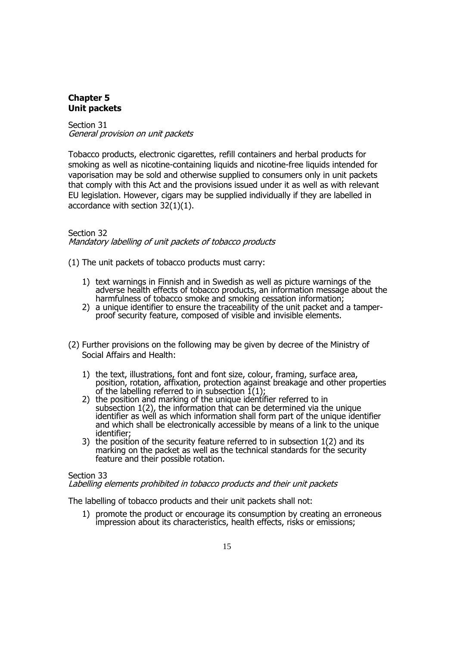## **Chapter 5 Unit packets**

Section 31 General provision on unit packets

Tobacco products, electronic cigarettes, refill containers and herbal products for smoking as well as nicotine-containing liquids and nicotine-free liquids intended for vaporisation may be sold and otherwise supplied to consumers only in unit packets that comply with this Act and the provisions issued under it as well as with relevant EU legislation. However, cigars may be supplied individually if they are labelled in accordance with section 32(1)(1).

## Section 32

Mandatory labelling of unit packets of tobacco products

(1) The unit packets of tobacco products must carry:

- 1) text warnings in Finnish and in Swedish as well as picture warnings of the adverse health effects of tobacco products, an information message about the harmfulness of tobacco smoke and smoking cessation information;
- 2) a unique identifier to ensure the traceability of the unit packet and a tamperproof security feature, composed of visible and invisible elements.
- (2) Further provisions on the following may be given by decree of the Ministry of Social Affairs and Health:
	- 1) the text, illustrations, font and font size, colour, framing, surface area, position, rotation, affixation, protection against breakage and other properties of the labelling referred to in subsection  $\tilde{I}(1)$ ;
	- 2) the position and marking of the unique identifier referred to in subsection 1(2), the information that can be determined via the unique identifier as well as which information shall form part of the unique identifier and which shall be electronically accessible by means of a link to the unique identifier;
	- 3) the position of the security feature referred to in subsection 1(2) and its marking on the packet as well as the technical standards for the security feature and their possible rotation.

#### Section 33

## Labelling elements prohibited in tobacco products and their unit packets

The labelling of tobacco products and their unit packets shall not:

1) promote the product or encourage its consumption by creating an erroneous impression about its characteristics, health effects, risks or emissions;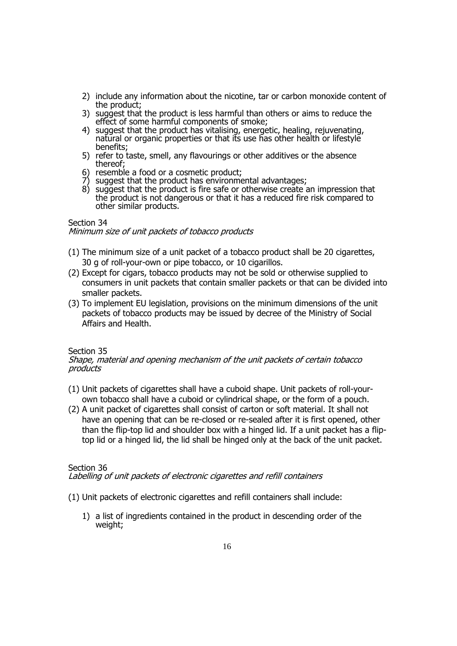- 2) include any information about the nicotine, tar or carbon monoxide content of the product;
- 3) suggest that the product is less harmful than others or aims to reduce the effect of some harmful components of smoke;
- 4) suggest that the product has vitalising, energetic, healing, rejuvenating, natural or organic properties or that its use has other health or lifestyle benefits;
- 5) refer to taste, smell, any flavourings or other additives or the absence thereof;
- 6) resemble a food or a cosmetic product;
- 7) suggest that the product has environmental advantages;
- 8) suggest that the product is fire safe or otherwise create an impression that the product is not dangerous or that it has a reduced fire risk compared to other similar products.

## Section 34

Minimum size of unit packets of tobacco products

- (1) The minimum size of a unit packet of a tobacco product shall be 20 cigarettes, 30 g of roll-your-own or pipe tobacco, or 10 cigarillos.
- (2) Except for cigars, tobacco products may not be sold or otherwise supplied to consumers in unit packets that contain smaller packets or that can be divided into smaller packets.
- (3) To implement EU legislation, provisions on the minimum dimensions of the unit packets of tobacco products may be issued by decree of the Ministry of Social Affairs and Health.

## Section 35

#### Shape, material and opening mechanism of the unit packets of certain tobacco products

- (1) Unit packets of cigarettes shall have a cuboid shape. Unit packets of roll-yourown tobacco shall have a cuboid or cylindrical shape, or the form of a pouch.
- (2) A unit packet of cigarettes shall consist of carton or soft material. It shall not have an opening that can be re-closed or re-sealed after it is first opened, other than the flip-top lid and shoulder box with a hinged lid. If a unit packet has a fliptop lid or a hinged lid, the lid shall be hinged only at the back of the unit packet.

## Section 36

## Labelling of unit packets of electronic cigarettes and refill containers

- (1) Unit packets of electronic cigarettes and refill containers shall include:
	- 1) a list of ingredients contained in the product in descending order of the weight;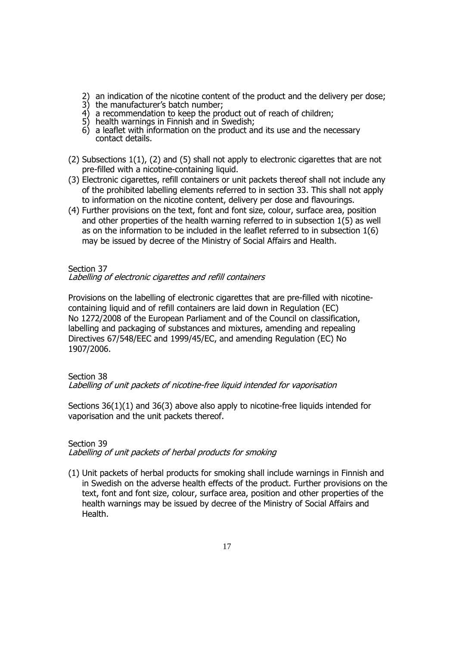- 2) an indication of the nicotine content of the product and the delivery per dose;
- 3) the manufacturer's batch number;
- 4) a recommendation to keep the product out of reach of children;
- 5) health warnings in Finnish and in Swedish;
- 6) a leaflet with information on the product and its use and the necessary contact details.
- (2) Subsections 1(1), (2) and (5) shall not apply to electronic cigarettes that are not pre-filled with a nicotine-containing liquid.
- (3) Electronic cigarettes, refill containers or unit packets thereof shall not include any of the prohibited labelling elements referred to in section 33. This shall not apply to information on the nicotine content, delivery per dose and flavourings.
- (4) Further provisions on the text, font and font size, colour, surface area, position and other properties of the health warning referred to in subsection 1(5) as well as on the information to be included in the leaflet referred to in subsection 1(6) may be issued by decree of the Ministry of Social Affairs and Health.

# Section 37

# Labelling of electronic cigarettes and refill containers

Provisions on the labelling of electronic cigarettes that are pre-filled with nicotinecontaining liquid and of refill containers are laid down in Regulation (EC) No 1272/2008 of the European Parliament and of the Council on classification, labelling and packaging of substances and mixtures, amending and repealing Directives 67/548/EEC and 1999/45/EC, and amending Regulation (EC) No 1907/2006.

## Section 38

Labelling of unit packets of nicotine-free liquid intended for vaporisation

Sections 36(1)(1) and 36(3) above also apply to nicotine-free liquids intended for vaporisation and the unit packets thereof.

# Section 39

Labelling of unit packets of herbal products for smoking

(1) Unit packets of herbal products for smoking shall include warnings in Finnish and in Swedish on the adverse health effects of the product. Further provisions on the text, font and font size, colour, surface area, position and other properties of the health warnings may be issued by decree of the Ministry of Social Affairs and Health.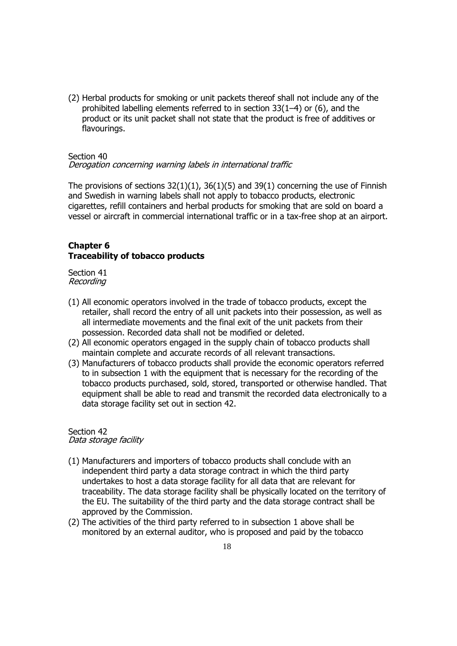(2) Herbal products for smoking or unit packets thereof shall not include any of the prohibited labelling elements referred to in section 33(1–4) or (6), and the product or its unit packet shall not state that the product is free of additives or flavourings.

### Section 40

Derogation concerning warning labels in international traffic

The provisions of sections  $32(1)(1)$ ,  $36(1)(5)$  and  $39(1)$  concerning the use of Finnish and Swedish in warning labels shall not apply to tobacco products, electronic cigarettes, refill containers and herbal products for smoking that are sold on board a vessel or aircraft in commercial international traffic or in a tax-free shop at an airport.

## **Chapter 6 Traceability of tobacco products**

Section 41 Recording

- (1) All economic operators involved in the trade of tobacco products, except the retailer, shall record the entry of all unit packets into their possession, as well as all intermediate movements and the final exit of the unit packets from their possession. Recorded data shall not be modified or deleted.
- (2) All economic operators engaged in the supply chain of tobacco products shall maintain complete and accurate records of all relevant transactions.
- (3) Manufacturers of tobacco products shall provide the economic operators referred to in subsection 1 with the equipment that is necessary for the recording of the tobacco products purchased, sold, stored, transported or otherwise handled. That equipment shall be able to read and transmit the recorded data electronically to a data storage facility set out in section 42.

#### Section 42 Data storage facility

- (1) Manufacturers and importers of tobacco products shall conclude with an independent third party a data storage contract in which the third party undertakes to host a data storage facility for all data that are relevant for traceability. The data storage facility shall be physically located on the territory of the EU. The suitability of the third party and the data storage contract shall be approved by the Commission.
- (2) The activities of the third party referred to in subsection 1 above shall be monitored by an external auditor, who is proposed and paid by the tobacco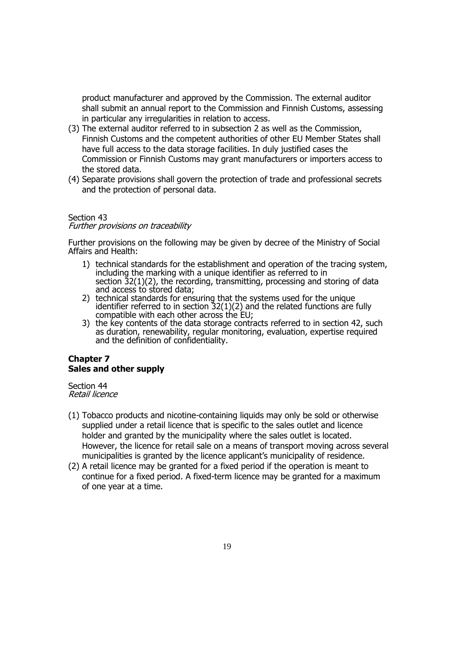product manufacturer and approved by the Commission. The external auditor shall submit an annual report to the Commission and Finnish Customs, assessing in particular any irregularities in relation to access.

- (3) The external auditor referred to in subsection 2 as well as the Commission, Finnish Customs and the competent authorities of other EU Member States shall have full access to the data storage facilities. In duly justified cases the Commission or Finnish Customs may grant manufacturers or importers access to the stored data.
- (4) Separate provisions shall govern the protection of trade and professional secrets and the protection of personal data.

## Section 43

#### Further provisions on traceability

Further provisions on the following may be given by decree of the Ministry of Social Affairs and Health:

- 1) technical standards for the establishment and operation of the tracing system, including the marking with a unique identifier as referred to in section 32(1)(2), the recording, transmitting, processing and storing of data and access to stored data;
- 2) technical standards for ensuring that the systems used for the unique identifier referred to in section  $32(1)(2)$  and the related functions are fully compatible with each other across the EU;
- 3) the key contents of the data storage contracts referred to in section 42, such as duration, renewability, regular monitoring, evaluation, expertise required and the definition of confidentiality.

## **Chapter 7 Sales and other supply**

Section 44 Retail licence

- (1) Tobacco products and nicotine-containing liquids may only be sold or otherwise supplied under a retail licence that is specific to the sales outlet and licence holder and granted by the municipality where the sales outlet is located. However, the licence for retail sale on a means of transport moving across several municipalities is granted by the licence applicant's municipality of residence.
- (2) A retail licence may be granted for a fixed period if the operation is meant to continue for a fixed period. A fixed-term licence may be granted for a maximum of one year at a time.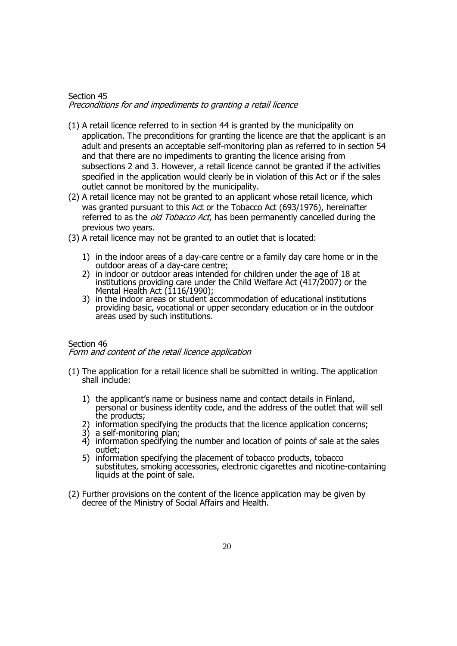## Section 45 Preconditions for and impediments to granting a retail licence

- (1) A retail licence referred to in section 44 is granted by the municipality on application. The preconditions for granting the licence are that the applicant is an adult and presents an acceptable self-monitoring plan as referred to in section 54 and that there are no impediments to granting the licence arising from subsections 2 and 3. However, a retail licence cannot be granted if the activities specified in the application would clearly be in violation of this Act or if the sales outlet cannot be monitored by the municipality.
- (2) A retail licence may not be granted to an applicant whose retail licence, which was granted pursuant to this Act or the Tobacco Act (693/1976), hereinafter referred to as the *old Tobacco Act*, has been permanently cancelled during the previous two years.
- (3) A retail licence may not be granted to an outlet that is located:
	- 1) in the indoor areas of a day-care centre or a family day care home or in the outdoor areas of a day-care centre;
	- 2) in indoor or outdoor areas intended for children under the age of 18 at institutions providing care under the Child Welfare Act (417/2007) or the Mental Health Act (1116/1990);
	- 3) in the indoor areas or student accommodation of educational institutions providing basic, vocational or upper secondary education or in the outdoor areas used by such institutions.

#### Section 46 Form and content of the retail licence application

- (1) The application for a retail licence shall be submitted in writing. The application shall include:
	- 1) the applicant's name or business name and contact details in Finland, personal or business identity code, and the address of the outlet that will sell the products;
	- 2) information specifying the products that the licence application concerns;
	- 3) a self-monitoring plan;
	- 4) information specifying the number and location of points of sale at the sales outlet;
	- 5) information specifying the placement of tobacco products, tobacco substitutes, smoking accessories, electronic cigarettes and nicotine-containing liquids at the point of sale.
- (2) Further provisions on the content of the licence application may be given by decree of the Ministry of Social Affairs and Health.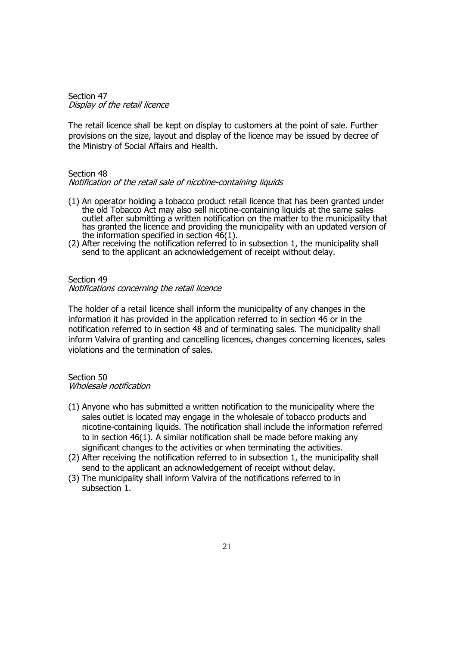Section 47 Display of the retail licence

The retail licence shall be kept on display to customers at the point of sale. Further provisions on the size, layout and display of the licence may be issued by decree of the Ministry of Social Affairs and Health.

#### Section 48

#### Notification of the retail sale of nicotine-containing liquids

- (1) An operator holding a tobacco product retail licence that has been granted under the old Tobacco Act may also sell nicotine-containing liquids at the same sales outlet after submitting a written notification on the matter to the municipality that has granted the licence and providing the municipality with an updated version of the information specified in section 46(1).
- (2) After receiving the notification referred to in subsection 1, the municipality shall send to the applicant an acknowledgement of receipt without delay.

#### Section 49

Notifications concerning the retail licence

The holder of a retail licence shall inform the municipality of any changes in the information it has provided in the application referred to in section 46 or in the notification referred to in section 48 and of terminating sales. The municipality shall inform Valvira of granting and cancelling licences, changes concerning licences, sales violations and the termination of sales.

#### Section 50 Wholesale notification

- (1) Anyone who has submitted a written notification to the municipality where the sales outlet is located may engage in the wholesale of tobacco products and nicotine-containing liquids. The notification shall include the information referred to in section 46(1). A similar notification shall be made before making any significant changes to the activities or when terminating the activities.
- (2) After receiving the notification referred to in subsection 1, the municipality shall send to the applicant an acknowledgement of receipt without delay.
- (3) The municipality shall inform Valvira of the notifications referred to in subsection 1.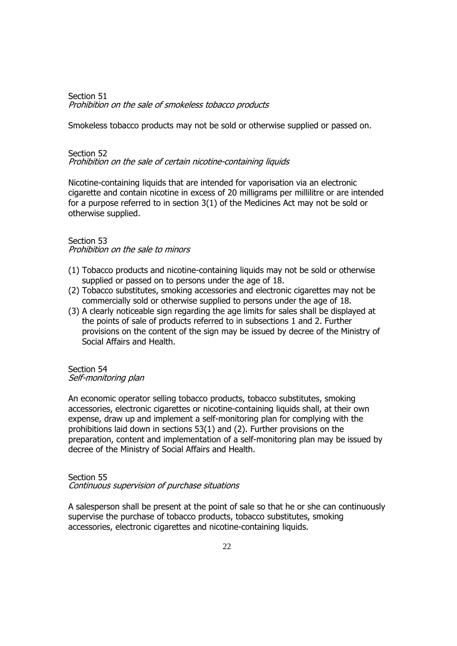Section 51 Prohibition on the sale of smokeless tobacco products

Smokeless tobacco products may not be sold or otherwise supplied or passed on.

#### Section 52

Prohibition on the sale of certain nicotine-containing liquids

Nicotine-containing liquids that are intended for vaporisation via an electronic cigarette and contain nicotine in excess of 20 milligrams per millilitre or are intended for a purpose referred to in section 3(1) of the Medicines Act may not be sold or otherwise supplied.

#### Section 53 Prohibition on the sale to minors

- (1) Tobacco products and nicotine-containing liquids may not be sold or otherwise supplied or passed on to persons under the age of 18.
- (2) Tobacco substitutes, smoking accessories and electronic cigarettes may not be commercially sold or otherwise supplied to persons under the age of 18.
- (3) A clearly noticeable sign regarding the age limits for sales shall be displayed at the points of sale of products referred to in subsections 1 and 2. Further provisions on the content of the sign may be issued by decree of the Ministry of Social Affairs and Health.

#### Section 54 Self-monitoring plan

An economic operator selling tobacco products, tobacco substitutes, smoking accessories, electronic cigarettes or nicotine-containing liquids shall, at their own expense, draw up and implement a self-monitoring plan for complying with the prohibitions laid down in sections 53(1) and (2). Further provisions on the preparation, content and implementation of a self-monitoring plan may be issued by decree of the Ministry of Social Affairs and Health.

#### Section 55

Continuous supervision of purchase situations

A salesperson shall be present at the point of sale so that he or she can continuously supervise the purchase of tobacco products, tobacco substitutes, smoking accessories, electronic cigarettes and nicotine-containing liquids.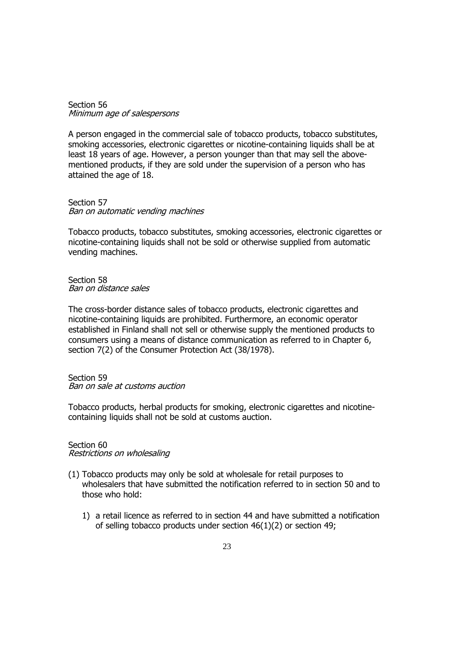Section 56 Minimum age of salespersons

A person engaged in the commercial sale of tobacco products, tobacco substitutes, smoking accessories, electronic cigarettes or nicotine-containing liquids shall be at least 18 years of age. However, a person younger than that may sell the abovementioned products, if they are sold under the supervision of a person who has attained the age of 18.

Section 57 Ban on automatic vending machines

Tobacco products, tobacco substitutes, smoking accessories, electronic cigarettes or nicotine-containing liquids shall not be sold or otherwise supplied from automatic vending machines.

Section 58 Ban on distance sales

The cross-border distance sales of tobacco products, electronic cigarettes and nicotine-containing liquids are prohibited. Furthermore, an economic operator established in Finland shall not sell or otherwise supply the mentioned products to consumers using a means of distance communication as referred to in Chapter 6, section 7(2) of the Consumer Protection Act (38/1978).

Section 59 Ban on sale at customs auction

Tobacco products, herbal products for smoking, electronic cigarettes and nicotinecontaining liquids shall not be sold at customs auction.

# Section 60

Restrictions on wholesaling

- (1) Tobacco products may only be sold at wholesale for retail purposes to wholesalers that have submitted the notification referred to in section 50 and to those who hold:
	- 1) a retail licence as referred to in section 44 and have submitted a notification of selling tobacco products under section 46(1)(2) or section 49;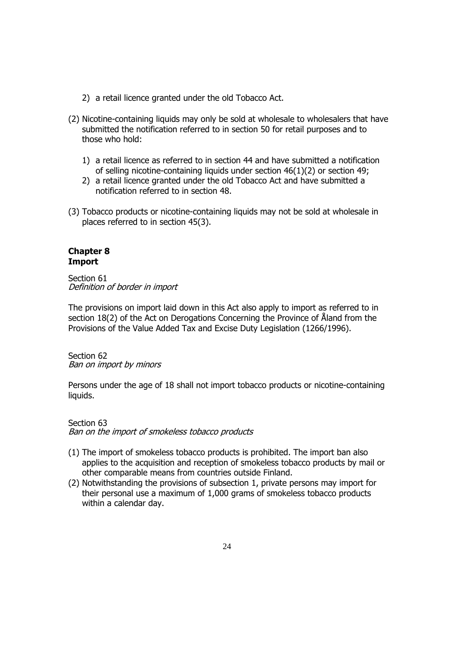- 2) a retail licence granted under the old Tobacco Act.
- (2) Nicotine-containing liquids may only be sold at wholesale to wholesalers that have submitted the notification referred to in section 50 for retail purposes and to those who hold:
	- 1) a retail licence as referred to in section 44 and have submitted a notification of selling nicotine-containing liquids under section 46(1)(2) or section 49;
	- 2) a retail licence granted under the old Tobacco Act and have submitted a notification referred to in section 48.
- (3) Tobacco products or nicotine-containing liquids may not be sold at wholesale in places referred to in section 45(3).

## **Chapter 8 Import**

Section 61 Definition of border in import

The provisions on import laid down in this Act also apply to import as referred to in section 18(2) of the Act on Derogations Concerning the Province of Åland from the Provisions of the Value Added Tax and Excise Duty Legislation (1266/1996).

Section 62 Ban on import by minors

Persons under the age of 18 shall not import tobacco products or nicotine-containing liquids.

#### Section 63 Ban on the import of smokeless tobacco products

- (1) The import of smokeless tobacco products is prohibited. The import ban also applies to the acquisition and reception of smokeless tobacco products by mail or other comparable means from countries outside Finland.
- (2) Notwithstanding the provisions of subsection 1, private persons may import for their personal use a maximum of 1,000 grams of smokeless tobacco products within a calendar day.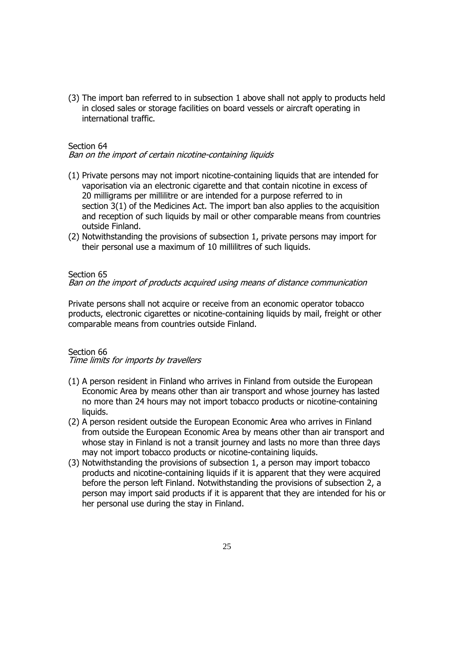(3) The import ban referred to in subsection 1 above shall not apply to products held in closed sales or storage facilities on board vessels or aircraft operating in international traffic.

### Section 64

#### Ban on the import of certain nicotine-containing liquids

- (1) Private persons may not import nicotine-containing liquids that are intended for vaporisation via an electronic cigarette and that contain nicotine in excess of 20 milligrams per millilitre or are intended for a purpose referred to in section 3(1) of the Medicines Act. The import ban also applies to the acquisition and reception of such liquids by mail or other comparable means from countries outside Finland.
- (2) Notwithstanding the provisions of subsection 1, private persons may import for their personal use a maximum of 10 millilitres of such liquids.

#### Section 65

Ban on the import of products acquired using means of distance communication

Private persons shall not acquire or receive from an economic operator tobacco products, electronic cigarettes or nicotine-containing liquids by mail, freight or other comparable means from countries outside Finland.

#### Section 66

Time limits for imports by travellers

- (1) A person resident in Finland who arrives in Finland from outside the European Economic Area by means other than air transport and whose journey has lasted no more than 24 hours may not import tobacco products or nicotine-containing liquids.
- (2) A person resident outside the European Economic Area who arrives in Finland from outside the European Economic Area by means other than air transport and whose stay in Finland is not a transit journey and lasts no more than three days may not import tobacco products or nicotine-containing liquids.
- (3) Notwithstanding the provisions of subsection 1, a person may import tobacco products and nicotine-containing liquids if it is apparent that they were acquired before the person left Finland. Notwithstanding the provisions of subsection 2, a person may import said products if it is apparent that they are intended for his or her personal use during the stay in Finland.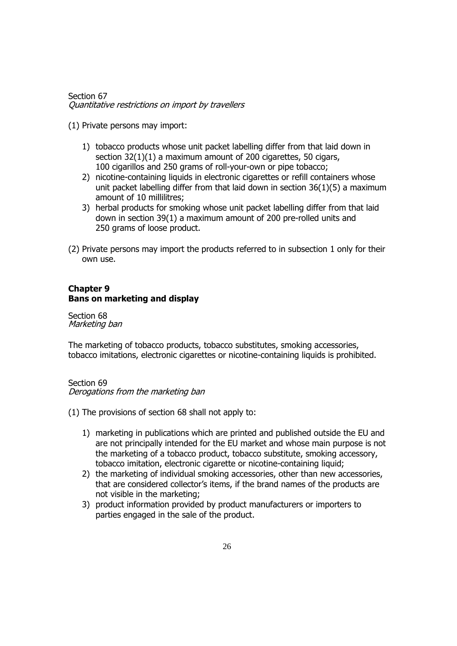Section 67 Quantitative restrictions on import by travellers

(1) Private persons may import:

- 1) tobacco products whose unit packet labelling differ from that laid down in section 32(1)(1) a maximum amount of 200 cigarettes, 50 cigars, 100 cigarillos and 250 grams of roll-your-own or pipe tobacco;
- 2) nicotine-containing liquids in electronic cigarettes or refill containers whose unit packet labelling differ from that laid down in section 36(1)(5) a maximum amount of 10 millilitres;
- 3) herbal products for smoking whose unit packet labelling differ from that laid down in section 39(1) a maximum amount of 200 pre-rolled units and 250 grams of loose product.
- (2) Private persons may import the products referred to in subsection 1 only for their own use.

## **Chapter 9 Bans on marketing and display**

Section 68 Marketing ban

The marketing of tobacco products, tobacco substitutes, smoking accessories, tobacco imitations, electronic cigarettes or nicotine-containing liquids is prohibited.

Section 69

Derogations from the marketing ban

- (1) The provisions of section 68 shall not apply to:
	- 1) marketing in publications which are printed and published outside the EU and are not principally intended for the EU market and whose main purpose is not the marketing of a tobacco product, tobacco substitute, smoking accessory, tobacco imitation, electronic cigarette or nicotine-containing liquid;
	- 2) the marketing of individual smoking accessories, other than new accessories, that are considered collector's items, if the brand names of the products are not visible in the marketing;
	- 3) product information provided by product manufacturers or importers to parties engaged in the sale of the product.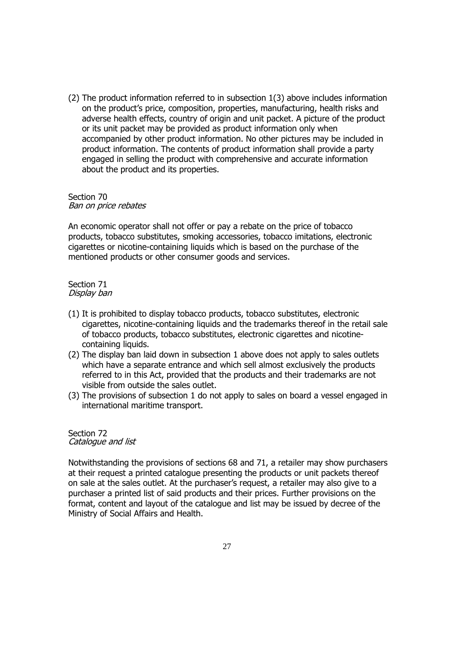(2) The product information referred to in subsection 1(3) above includes information on the product's price, composition, properties, manufacturing, health risks and adverse health effects, country of origin and unit packet. A picture of the product or its unit packet may be provided as product information only when accompanied by other product information. No other pictures may be included in product information. The contents of product information shall provide a party engaged in selling the product with comprehensive and accurate information about the product and its properties.

#### Section 70 Ban on price rebates

An economic operator shall not offer or pay a rebate on the price of tobacco products, tobacco substitutes, smoking accessories, tobacco imitations, electronic cigarettes or nicotine-containing liquids which is based on the purchase of the mentioned products or other consumer goods and services.

Section 71 Display ban

- (1) It is prohibited to display tobacco products, tobacco substitutes, electronic cigarettes, nicotine-containing liquids and the trademarks thereof in the retail sale of tobacco products, tobacco substitutes, electronic cigarettes and nicotinecontaining liquids.
- (2) The display ban laid down in subsection 1 above does not apply to sales outlets which have a separate entrance and which sell almost exclusively the products referred to in this Act, provided that the products and their trademarks are not visible from outside the sales outlet.
- (3) The provisions of subsection 1 do not apply to sales on board a vessel engaged in international maritime transport.

#### Section 72 Catalogue and list

Notwithstanding the provisions of sections 68 and 71, a retailer may show purchasers at their request a printed catalogue presenting the products or unit packets thereof on sale at the sales outlet. At the purchaser's request, a retailer may also give to a purchaser a printed list of said products and their prices. Further provisions on the format, content and layout of the catalogue and list may be issued by decree of the Ministry of Social Affairs and Health.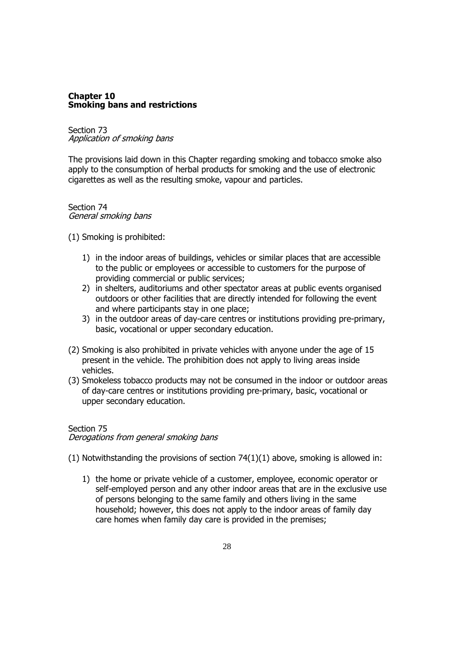#### **Chapter 10 Smoking bans and restrictions**

## Section 73 Application of smoking bans

The provisions laid down in this Chapter regarding smoking and tobacco smoke also apply to the consumption of herbal products for smoking and the use of electronic cigarettes as well as the resulting smoke, vapour and particles.

### Section 74 General smoking bans

(1) Smoking is prohibited:

- 1) in the indoor areas of buildings, vehicles or similar places that are accessible to the public or employees or accessible to customers for the purpose of providing commercial or public services;
- 2) in shelters, auditoriums and other spectator areas at public events organised outdoors or other facilities that are directly intended for following the event and where participants stay in one place;
- 3) in the outdoor areas of day-care centres or institutions providing pre-primary, basic, vocational or upper secondary education.
- (2) Smoking is also prohibited in private vehicles with anyone under the age of 15 present in the vehicle. The prohibition does not apply to living areas inside vehicles.
- (3) Smokeless tobacco products may not be consumed in the indoor or outdoor areas of day-care centres or institutions providing pre-primary, basic, vocational or upper secondary education.

## Section 75 Derogations from general smoking bans

 $(1)$  Notwithstanding the provisions of section  $74(1)(1)$  above, smoking is allowed in:

1) the home or private vehicle of a customer, employee, economic operator or self-employed person and any other indoor areas that are in the exclusive use of persons belonging to the same family and others living in the same household; however, this does not apply to the indoor areas of family day care homes when family day care is provided in the premises;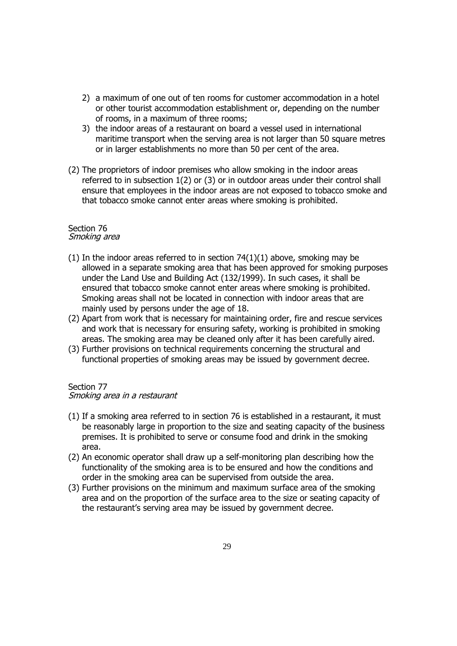- 2) a maximum of one out of ten rooms for customer accommodation in a hotel or other tourist accommodation establishment or, depending on the number of rooms, in a maximum of three rooms;
- 3) the indoor areas of a restaurant on board a vessel used in international maritime transport when the serving area is not larger than 50 square metres or in larger establishments no more than 50 per cent of the area.
- (2) The proprietors of indoor premises who allow smoking in the indoor areas referred to in subsection 1(2) or (3) or in outdoor areas under their control shall ensure that employees in the indoor areas are not exposed to tobacco smoke and that tobacco smoke cannot enter areas where smoking is prohibited.

#### Section 76 Smoking area

- (1) In the indoor areas referred to in section  $74(1)(1)$  above, smoking may be allowed in a separate smoking area that has been approved for smoking purposes under the Land Use and Building Act (132/1999). In such cases, it shall be ensured that tobacco smoke cannot enter areas where smoking is prohibited. Smoking areas shall not be located in connection with indoor areas that are mainly used by persons under the age of 18.
- (2) Apart from work that is necessary for maintaining order, fire and rescue services and work that is necessary for ensuring safety, working is prohibited in smoking areas. The smoking area may be cleaned only after it has been carefully aired.
- (3) Further provisions on technical requirements concerning the structural and functional properties of smoking areas may be issued by government decree.

## Section 77

## Smoking area in a restaurant

- (1) If a smoking area referred to in section 76 is established in a restaurant, it must be reasonably large in proportion to the size and seating capacity of the business premises. It is prohibited to serve or consume food and drink in the smoking area.
- (2) An economic operator shall draw up a self-monitoring plan describing how the functionality of the smoking area is to be ensured and how the conditions and order in the smoking area can be supervised from outside the area.
- (3) Further provisions on the minimum and maximum surface area of the smoking area and on the proportion of the surface area to the size or seating capacity of the restaurant's serving area may be issued by government decree.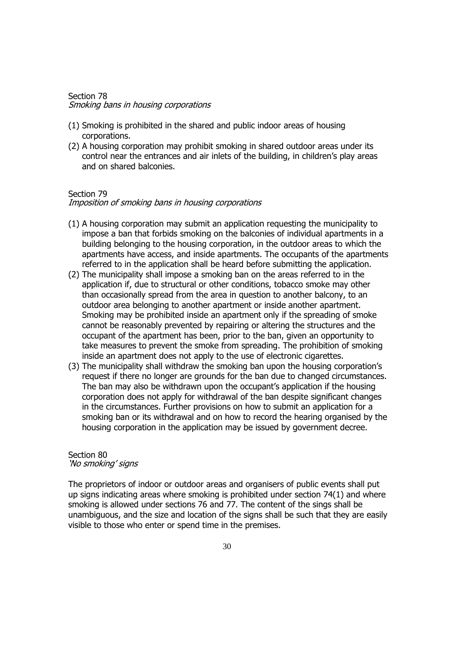#### Section 78 Smoking bans in housing corporations

- (1) Smoking is prohibited in the shared and public indoor areas of housing corporations.
- (2) A housing corporation may prohibit smoking in shared outdoor areas under its control near the entrances and air inlets of the building, in children's play areas and on shared balconies.

#### Section 79

### Imposition of smoking bans in housing corporations

- (1) A housing corporation may submit an application requesting the municipality to impose a ban that forbids smoking on the balconies of individual apartments in a building belonging to the housing corporation, in the outdoor areas to which the apartments have access, and inside apartments. The occupants of the apartments referred to in the application shall be heard before submitting the application.
- (2) The municipality shall impose a smoking ban on the areas referred to in the application if, due to structural or other conditions, tobacco smoke may other than occasionally spread from the area in question to another balcony, to an outdoor area belonging to another apartment or inside another apartment. Smoking may be prohibited inside an apartment only if the spreading of smoke cannot be reasonably prevented by repairing or altering the structures and the occupant of the apartment has been, prior to the ban, given an opportunity to take measures to prevent the smoke from spreading. The prohibition of smoking inside an apartment does not apply to the use of electronic cigarettes.
- (3) The municipality shall withdraw the smoking ban upon the housing corporation's request if there no longer are grounds for the ban due to changed circumstances. The ban may also be withdrawn upon the occupant's application if the housing corporation does not apply for withdrawal of the ban despite significant changes in the circumstances. Further provisions on how to submit an application for a smoking ban or its withdrawal and on how to record the hearing organised by the housing corporation in the application may be issued by government decree.

#### Section 80 'No smoking' signs

The proprietors of indoor or outdoor areas and organisers of public events shall put up signs indicating areas where smoking is prohibited under section 74(1) and where smoking is allowed under sections 76 and 77. The content of the sings shall be unambiguous, and the size and location of the signs shall be such that they are easily visible to those who enter or spend time in the premises.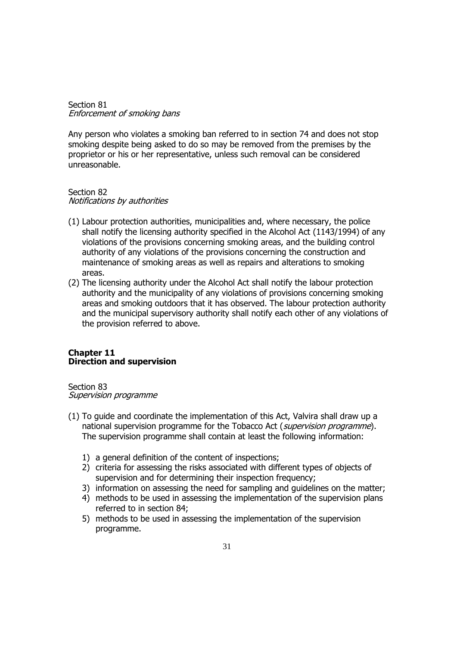Section 81 Enforcement of smoking bans

Any person who violates a smoking ban referred to in section 74 and does not stop smoking despite being asked to do so may be removed from the premises by the proprietor or his or her representative, unless such removal can be considered unreasonable.

# Section 82

Notifications by authorities

- (1) Labour protection authorities, municipalities and, where necessary, the police shall notify the licensing authority specified in the Alcohol Act (1143/1994) of any violations of the provisions concerning smoking areas, and the building control authority of any violations of the provisions concerning the construction and maintenance of smoking areas as well as repairs and alterations to smoking areas.
- (2) The licensing authority under the Alcohol Act shall notify the labour protection authority and the municipality of any violations of provisions concerning smoking areas and smoking outdoors that it has observed. The labour protection authority and the municipal supervisory authority shall notify each other of any violations of the provision referred to above.

## **Chapter 11 Direction and supervision**

Section 83 Supervision programme

- (1) To guide and coordinate the implementation of this Act, Valvira shall draw up a national supervision programme for the Tobacco Act (supervision programme). The supervision programme shall contain at least the following information:
	- 1) a general definition of the content of inspections;
	- 2) criteria for assessing the risks associated with different types of objects of supervision and for determining their inspection frequency;
	- 3) information on assessing the need for sampling and guidelines on the matter;
	- 4) methods to be used in assessing the implementation of the supervision plans referred to in section 84;
	- 5) methods to be used in assessing the implementation of the supervision programme.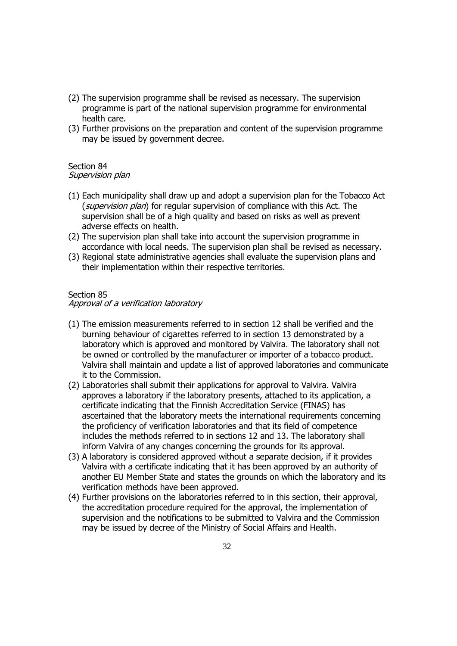- (2) The supervision programme shall be revised as necessary. The supervision programme is part of the national supervision programme for environmental health care.
- (3) Further provisions on the preparation and content of the supervision programme may be issued by government decree.

# Section 84

## Supervision plan

- (1) Each municipality shall draw up and adopt a supervision plan for the Tobacco Act (*supervision plan*) for regular supervision of compliance with this Act. The supervision shall be of a high quality and based on risks as well as prevent adverse effects on health.
- (2) The supervision plan shall take into account the supervision programme in accordance with local needs. The supervision plan shall be revised as necessary.
- (3) Regional state administrative agencies shall evaluate the supervision plans and their implementation within their respective territories.

## Section 85

## Approval of a verification laboratory

- (1) The emission measurements referred to in section 12 shall be verified and the burning behaviour of cigarettes referred to in section 13 demonstrated by a laboratory which is approved and monitored by Valvira. The laboratory shall not be owned or controlled by the manufacturer or importer of a tobacco product. Valvira shall maintain and update a list of approved laboratories and communicate it to the Commission.
- (2) Laboratories shall submit their applications for approval to Valvira. Valvira approves a laboratory if the laboratory presents, attached to its application, a certificate indicating that the Finnish Accreditation Service (FINAS) has ascertained that the laboratory meets the international requirements concerning the proficiency of verification laboratories and that its field of competence includes the methods referred to in sections 12 and 13. The laboratory shall inform Valvira of any changes concerning the grounds for its approval.
- (3) A laboratory is considered approved without a separate decision, if it provides Valvira with a certificate indicating that it has been approved by an authority of another EU Member State and states the grounds on which the laboratory and its verification methods have been approved.
- (4) Further provisions on the laboratories referred to in this section, their approval, the accreditation procedure required for the approval, the implementation of supervision and the notifications to be submitted to Valvira and the Commission may be issued by decree of the Ministry of Social Affairs and Health.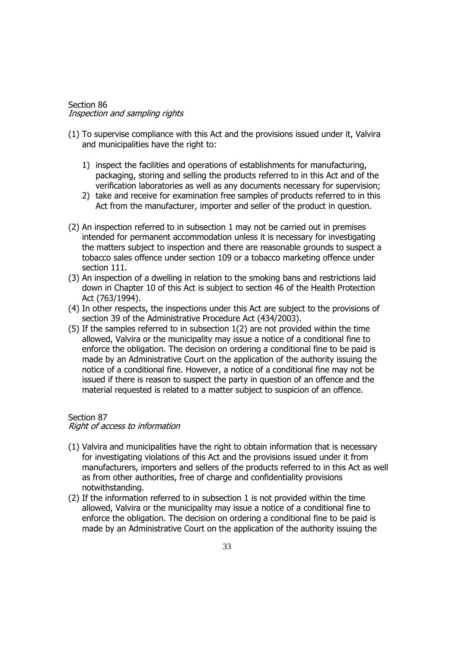#### Section 86 Inspection and sampling rights

- (1) To supervise compliance with this Act and the provisions issued under it, Valvira and municipalities have the right to:
	- 1) inspect the facilities and operations of establishments for manufacturing, packaging, storing and selling the products referred to in this Act and of the verification laboratories as well as any documents necessary for supervision;
	- 2) take and receive for examination free samples of products referred to in this Act from the manufacturer, importer and seller of the product in question.
- (2) An inspection referred to in subsection 1 may not be carried out in premises intended for permanent accommodation unless it is necessary for investigating the matters subject to inspection and there are reasonable grounds to suspect a tobacco sales offence under section 109 or a tobacco marketing offence under section 111.
- (3) An inspection of a dwelling in relation to the smoking bans and restrictions laid down in Chapter 10 of this Act is subject to section 46 of the Health Protection Act (763/1994).
- (4) In other respects, the inspections under this Act are subject to the provisions of section 39 of the Administrative Procedure Act (434/2003).
- (5) If the samples referred to in subsection 1(2) are not provided within the time allowed, Valvira or the municipality may issue a notice of a conditional fine to enforce the obligation. The decision on ordering a conditional fine to be paid is made by an Administrative Court on the application of the authority issuing the notice of a conditional fine. However, a notice of a conditional fine may not be issued if there is reason to suspect the party in question of an offence and the material requested is related to a matter subject to suspicion of an offence.

## Section 87

## Right of access to information

- (1) Valvira and municipalities have the right to obtain information that is necessary for investigating violations of this Act and the provisions issued under it from manufacturers, importers and sellers of the products referred to in this Act as well as from other authorities, free of charge and confidentiality provisions notwithstanding.
- (2) If the information referred to in subsection 1 is not provided within the time allowed, Valvira or the municipality may issue a notice of a conditional fine to enforce the obligation. The decision on ordering a conditional fine to be paid is made by an Administrative Court on the application of the authority issuing the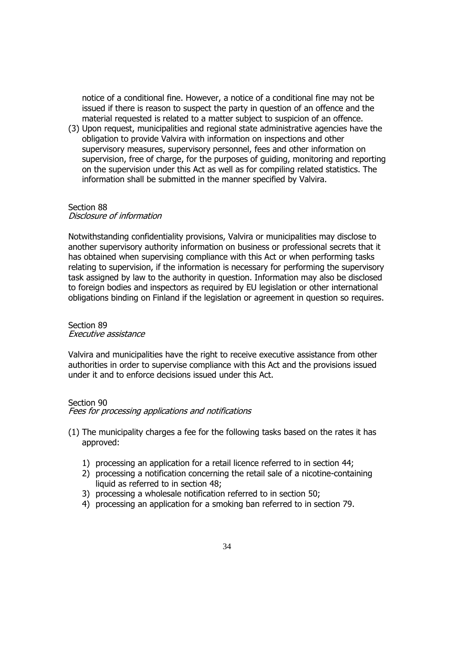notice of a conditional fine. However, a notice of a conditional fine may not be issued if there is reason to suspect the party in question of an offence and the material requested is related to a matter subject to suspicion of an offence.

(3) Upon request, municipalities and regional state administrative agencies have the obligation to provide Valvira with information on inspections and other supervisory measures, supervisory personnel, fees and other information on supervision, free of charge, for the purposes of guiding, monitoring and reporting on the supervision under this Act as well as for compiling related statistics. The information shall be submitted in the manner specified by Valvira.

#### Section 88 Disclosure of information

Notwithstanding confidentiality provisions, Valvira or municipalities may disclose to another supervisory authority information on business or professional secrets that it has obtained when supervising compliance with this Act or when performing tasks relating to supervision, if the information is necessary for performing the supervisory task assigned by law to the authority in question. Information may also be disclosed to foreign bodies and inspectors as required by EU legislation or other international obligations binding on Finland if the legislation or agreement in question so requires.

#### Section 89 Executive assistance

Valvira and municipalities have the right to receive executive assistance from other authorities in order to supervise compliance with this Act and the provisions issued under it and to enforce decisions issued under this Act.

#### Section 90

Fees for processing applications and notifications

- (1) The municipality charges a fee for the following tasks based on the rates it has approved:
	- 1) processing an application for a retail licence referred to in section 44;
	- 2) processing a notification concerning the retail sale of a nicotine-containing liquid as referred to in section 48;
	- 3) processing a wholesale notification referred to in section 50;
	- 4) processing an application for a smoking ban referred to in section 79.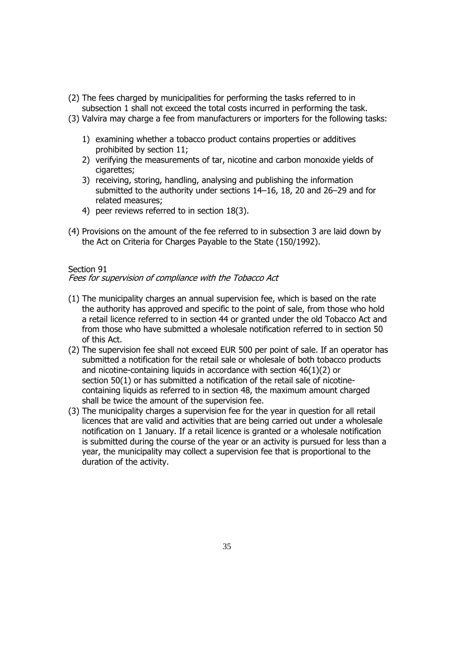- (2) The fees charged by municipalities for performing the tasks referred to in subsection 1 shall not exceed the total costs incurred in performing the task.
- (3) Valvira may charge a fee from manufacturers or importers for the following tasks:
	- 1) examining whether a tobacco product contains properties or additives prohibited by section 11;
	- 2) verifying the measurements of tar, nicotine and carbon monoxide yields of cigarettes:
	- 3) receiving, storing, handling, analysing and publishing the information submitted to the authority under sections 14–16, 18, 20 and 26–29 and for related measures;
	- 4) peer reviews referred to in section 18(3).
- (4) Provisions on the amount of the fee referred to in subsection 3 are laid down by the Act on Criteria for Charges Payable to the State (150/1992).

## Section 91

## Fees for supervision of compliance with the Tobacco Act

- (1) The municipality charges an annual supervision fee, which is based on the rate the authority has approved and specific to the point of sale, from those who hold a retail licence referred to in section 44 or granted under the old Tobacco Act and from those who have submitted a wholesale notification referred to in section 50 of this Act.
- (2) The supervision fee shall not exceed EUR 500 per point of sale. If an operator has submitted a notification for the retail sale or wholesale of both tobacco products and nicotine-containing liquids in accordance with section 46(1)(2) or section 50(1) or has submitted a notification of the retail sale of nicotinecontaining liquids as referred to in section 48, the maximum amount charged shall be twice the amount of the supervision fee.
- (3) The municipality charges a supervision fee for the year in question for all retail licences that are valid and activities that are being carried out under a wholesale notification on 1 January. If a retail licence is granted or a wholesale notification is submitted during the course of the year or an activity is pursued for less than a year, the municipality may collect a supervision fee that is proportional to the duration of the activity.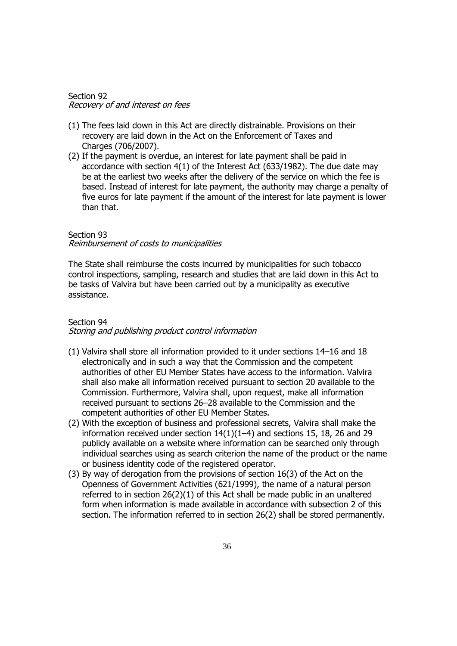#### Section 92 Recovery of and interest on fees

- (1) The fees laid down in this Act are directly distrainable. Provisions on their recovery are laid down in the Act on the Enforcement of Taxes and Charges (706/2007).
- (2) If the payment is overdue, an interest for late payment shall be paid in accordance with section 4(1) of the Interest Act (633/1982). The due date may be at the earliest two weeks after the delivery of the service on which the fee is based. Instead of interest for late payment, the authority may charge a penalty of five euros for late payment if the amount of the interest for late payment is lower than that.

### Section 93 Reimbursement of costs to municipalities

The State shall reimburse the costs incurred by municipalities for such tobacco control inspections, sampling, research and studies that are laid down in this Act to be tasks of Valvira but have been carried out by a municipality as executive assistance.

## Section 94 Storing and publishing product control information

- (1) Valvira shall store all information provided to it under sections 14–16 and 18 electronically and in such a way that the Commission and the competent authorities of other EU Member States have access to the information. Valvira shall also make all information received pursuant to section 20 available to the Commission. Furthermore, Valvira shall, upon request, make all information received pursuant to sections 26–28 available to the Commission and the competent authorities of other EU Member States.
- (2) With the exception of business and professional secrets, Valvira shall make the information received under section 14(1)(1–4) and sections 15, 18, 26 and 29 publicly available on a website where information can be searched only through individual searches using as search criterion the name of the product or the name or business identity code of the registered operator.
- (3) By way of derogation from the provisions of section 16(3) of the Act on the Openness of Government Activities (621/1999), the name of a natural person referred to in section  $26(2)(1)$  of this Act shall be made public in an unaltered form when information is made available in accordance with subsection 2 of this section. The information referred to in section 26(2) shall be stored permanently.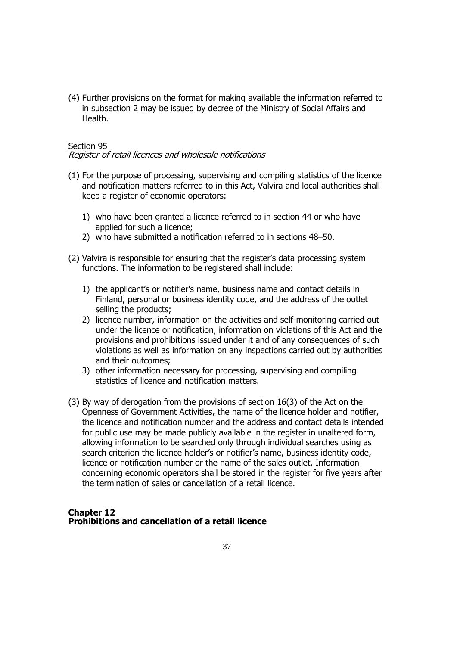(4) Further provisions on the format for making available the information referred to in subsection 2 may be issued by decree of the Ministry of Social Affairs and Health.

## Section 95

#### Register of retail licences and wholesale notifications

- (1) For the purpose of processing, supervising and compiling statistics of the licence and notification matters referred to in this Act, Valvira and local authorities shall keep a register of economic operators:
	- 1) who have been granted a licence referred to in section 44 or who have applied for such a licence;
	- 2) who have submitted a notification referred to in sections 48–50.
- (2) Valvira is responsible for ensuring that the register's data processing system functions. The information to be registered shall include:
	- 1) the applicant's or notifier's name, business name and contact details in Finland, personal or business identity code, and the address of the outlet selling the products;
	- 2) licence number, information on the activities and self-monitoring carried out under the licence or notification, information on violations of this Act and the provisions and prohibitions issued under it and of any consequences of such violations as well as information on any inspections carried out by authorities and their outcomes;
	- 3) other information necessary for processing, supervising and compiling statistics of licence and notification matters.
- (3) By way of derogation from the provisions of section 16(3) of the Act on the Openness of Government Activities, the name of the licence holder and notifier, the licence and notification number and the address and contact details intended for public use may be made publicly available in the register in unaltered form, allowing information to be searched only through individual searches using as search criterion the licence holder's or notifier's name, business identity code, licence or notification number or the name of the sales outlet. Information concerning economic operators shall be stored in the register for five years after the termination of sales or cancellation of a retail licence.

#### **Chapter 12 Prohibitions and cancellation of a retail licence**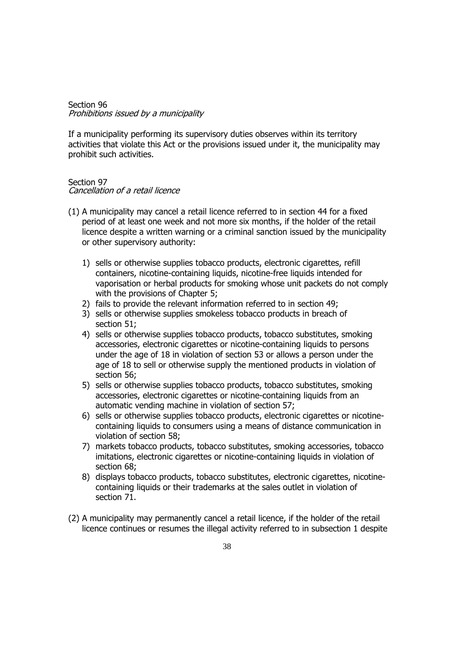#### Section 96 Prohibitions issued by a municipality

If a municipality performing its supervisory duties observes within its territory activities that violate this Act or the provisions issued under it, the municipality may prohibit such activities.

# Section 97

Cancellation of a retail licence

- (1) A municipality may cancel a retail licence referred to in section 44 for a fixed period of at least one week and not more six months, if the holder of the retail licence despite a written warning or a criminal sanction issued by the municipality or other supervisory authority:
	- 1) sells or otherwise supplies tobacco products, electronic cigarettes, refill containers, nicotine-containing liquids, nicotine-free liquids intended for vaporisation or herbal products for smoking whose unit packets do not comply with the provisions of Chapter 5;
	- 2) fails to provide the relevant information referred to in section 49;
	- 3) sells or otherwise supplies smokeless tobacco products in breach of section 51:
	- 4) sells or otherwise supplies tobacco products, tobacco substitutes, smoking accessories, electronic cigarettes or nicotine-containing liquids to persons under the age of 18 in violation of section 53 or allows a person under the age of 18 to sell or otherwise supply the mentioned products in violation of section 56;
	- 5) sells or otherwise supplies tobacco products, tobacco substitutes, smoking accessories, electronic cigarettes or nicotine-containing liquids from an automatic vending machine in violation of section 57;
	- 6) sells or otherwise supplies tobacco products, electronic cigarettes or nicotinecontaining liquids to consumers using a means of distance communication in violation of section 58;
	- 7) markets tobacco products, tobacco substitutes, smoking accessories, tobacco imitations, electronic cigarettes or nicotine-containing liquids in violation of section 68;
	- 8) displays tobacco products, tobacco substitutes, electronic cigarettes, nicotinecontaining liquids or their trademarks at the sales outlet in violation of section 71.
- (2) A municipality may permanently cancel a retail licence, if the holder of the retail licence continues or resumes the illegal activity referred to in subsection 1 despite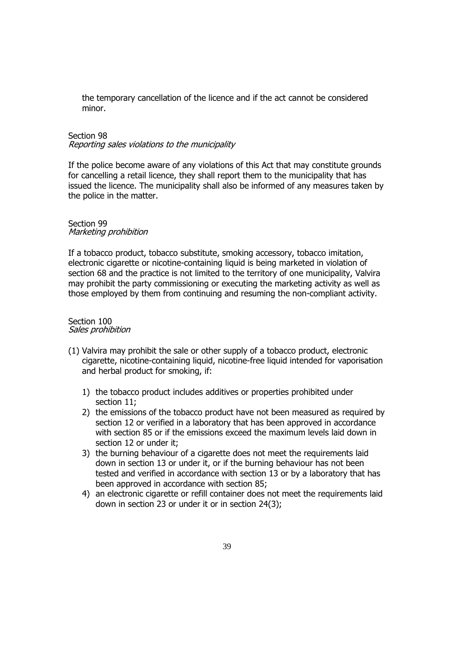the temporary cancellation of the licence and if the act cannot be considered minor.

# Section 98

Reporting sales violations to the municipality

If the police become aware of any violations of this Act that may constitute grounds for cancelling a retail licence, they shall report them to the municipality that has issued the licence. The municipality shall also be informed of any measures taken by the police in the matter.

#### Section 99 Marketing prohibition

If a tobacco product, tobacco substitute, smoking accessory, tobacco imitation, electronic cigarette or nicotine-containing liquid is being marketed in violation of section 68 and the practice is not limited to the territory of one municipality, Valvira may prohibit the party commissioning or executing the marketing activity as well as those employed by them from continuing and resuming the non-compliant activity.

#### Section 100 Sales prohibition

- (1) Valvira may prohibit the sale or other supply of a tobacco product, electronic cigarette, nicotine-containing liquid, nicotine-free liquid intended for vaporisation and herbal product for smoking, if:
	- 1) the tobacco product includes additives or properties prohibited under section 11;
	- 2) the emissions of the tobacco product have not been measured as required by section 12 or verified in a laboratory that has been approved in accordance with section 85 or if the emissions exceed the maximum levels laid down in section 12 or under it;
	- 3) the burning behaviour of a cigarette does not meet the requirements laid down in section 13 or under it, or if the burning behaviour has not been tested and verified in accordance with section 13 or by a laboratory that has been approved in accordance with section 85;
	- 4) an electronic cigarette or refill container does not meet the requirements laid down in section 23 or under it or in section 24(3);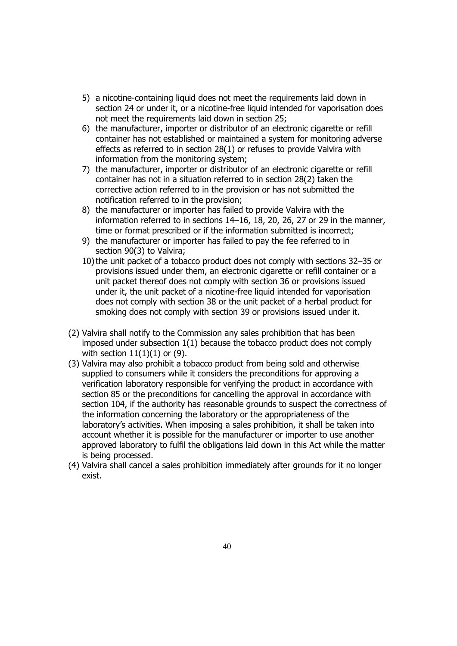- 5) a nicotine-containing liquid does not meet the requirements laid down in section 24 or under it, or a nicotine-free liquid intended for vaporisation does not meet the requirements laid down in section 25;
- 6) the manufacturer, importer or distributor of an electronic cigarette or refill container has not established or maintained a system for monitoring adverse effects as referred to in section 28(1) or refuses to provide Valvira with information from the monitoring system;
- 7) the manufacturer, importer or distributor of an electronic cigarette or refill container has not in a situation referred to in section 28(2) taken the corrective action referred to in the provision or has not submitted the notification referred to in the provision;
- 8) the manufacturer or importer has failed to provide Valvira with the information referred to in sections 14–16, 18, 20, 26, 27 or 29 in the manner, time or format prescribed or if the information submitted is incorrect;
- 9) the manufacturer or importer has failed to pay the fee referred to in section 90(3) to Valvira;
- 10)the unit packet of a tobacco product does not comply with sections 32–35 or provisions issued under them, an electronic cigarette or refill container or a unit packet thereof does not comply with section 36 or provisions issued under it, the unit packet of a nicotine-free liquid intended for vaporisation does not comply with section 38 or the unit packet of a herbal product for smoking does not comply with section 39 or provisions issued under it.
- (2) Valvira shall notify to the Commission any sales prohibition that has been imposed under subsection 1(1) because the tobacco product does not comply with section  $11(1)(1)$  or (9).
- (3) Valvira may also prohibit a tobacco product from being sold and otherwise supplied to consumers while it considers the preconditions for approving a verification laboratory responsible for verifying the product in accordance with section 85 or the preconditions for cancelling the approval in accordance with section 104, if the authority has reasonable grounds to suspect the correctness of the information concerning the laboratory or the appropriateness of the laboratory's activities. When imposing a sales prohibition, it shall be taken into account whether it is possible for the manufacturer or importer to use another approved laboratory to fulfil the obligations laid down in this Act while the matter is being processed.
- (4) Valvira shall cancel a sales prohibition immediately after grounds for it no longer exist.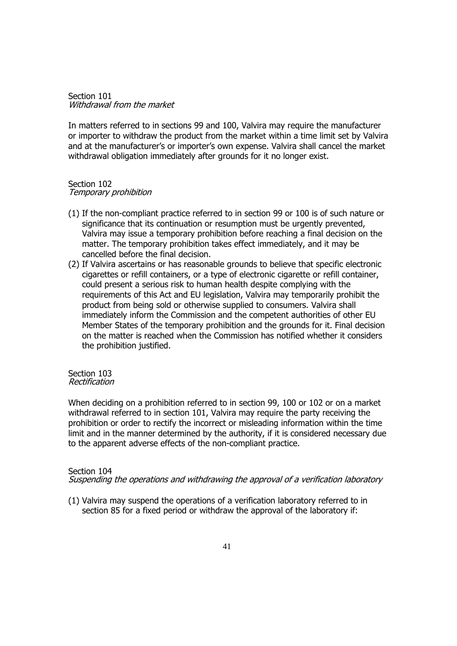Section 101 Withdrawal from the market

In matters referred to in sections 99 and 100, Valvira may require the manufacturer or importer to withdraw the product from the market within a time limit set by Valvira and at the manufacturer's or importer's own expense. Valvira shall cancel the market withdrawal obligation immediately after grounds for it no longer exist.

#### Section 102 Temporary prohibition

- (1) If the non-compliant practice referred to in section 99 or 100 is of such nature or significance that its continuation or resumption must be urgently prevented, Valvira may issue a temporary prohibition before reaching a final decision on the matter. The temporary prohibition takes effect immediately, and it may be cancelled before the final decision.
- (2) If Valvira ascertains or has reasonable grounds to believe that specific electronic cigarettes or refill containers, or a type of electronic cigarette or refill container, could present a serious risk to human health despite complying with the requirements of this Act and EU legislation, Valvira may temporarily prohibit the product from being sold or otherwise supplied to consumers. Valvira shall immediately inform the Commission and the competent authorities of other EU Member States of the temporary prohibition and the grounds for it. Final decision on the matter is reached when the Commission has notified whether it considers the prohibition justified.

#### Section 103 Rectification

When deciding on a prohibition referred to in section 99, 100 or 102 or on a market withdrawal referred to in section 101, Valvira may require the party receiving the prohibition or order to rectify the incorrect or misleading information within the time limit and in the manner determined by the authority, if it is considered necessary due to the apparent adverse effects of the non-compliant practice.

## Section 104

Suspending the operations and withdrawing the approval of a verification laboratory

(1) Valvira may suspend the operations of a verification laboratory referred to in section 85 for a fixed period or withdraw the approval of the laboratory if: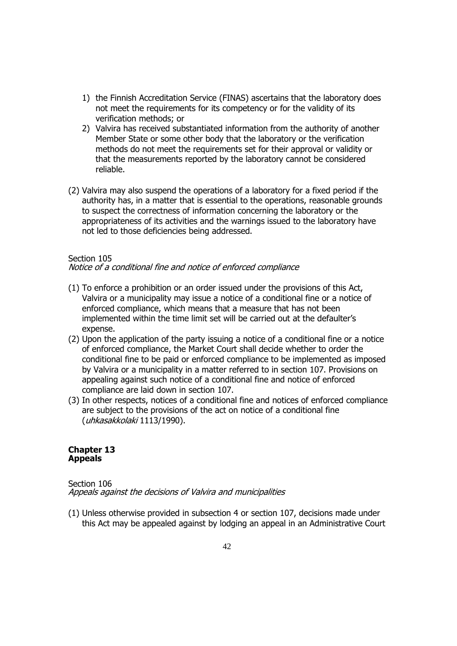- 1) the Finnish Accreditation Service (FINAS) ascertains that the laboratory does not meet the requirements for its competency or for the validity of its verification methods; or
- 2) Valvira has received substantiated information from the authority of another Member State or some other body that the laboratory or the verification methods do not meet the requirements set for their approval or validity or that the measurements reported by the laboratory cannot be considered reliable.
- (2) Valvira may also suspend the operations of a laboratory for a fixed period if the authority has, in a matter that is essential to the operations, reasonable grounds to suspect the correctness of information concerning the laboratory or the appropriateness of its activities and the warnings issued to the laboratory have not led to those deficiencies being addressed.

## Section 105

Notice of a conditional fine and notice of enforced compliance

- (1) To enforce a prohibition or an order issued under the provisions of this Act, Valvira or a municipality may issue a notice of a conditional fine or a notice of enforced compliance, which means that a measure that has not been implemented within the time limit set will be carried out at the defaulter's expense.
- (2) Upon the application of the party issuing a notice of a conditional fine or a notice of enforced compliance, the Market Court shall decide whether to order the conditional fine to be paid or enforced compliance to be implemented as imposed by Valvira or a municipality in a matter referred to in section 107. Provisions on appealing against such notice of a conditional fine and notice of enforced compliance are laid down in section 107.
- (3) In other respects, notices of a conditional fine and notices of enforced compliance are subject to the provisions of the act on notice of a conditional fine (uhkasakkolaki 1113/1990).

#### **Chapter 13 Appeals**

#### Section 106 Appeals against the decisions of Valvira and municipalities

(1) Unless otherwise provided in subsection 4 or section 107, decisions made under this Act may be appealed against by lodging an appeal in an Administrative Court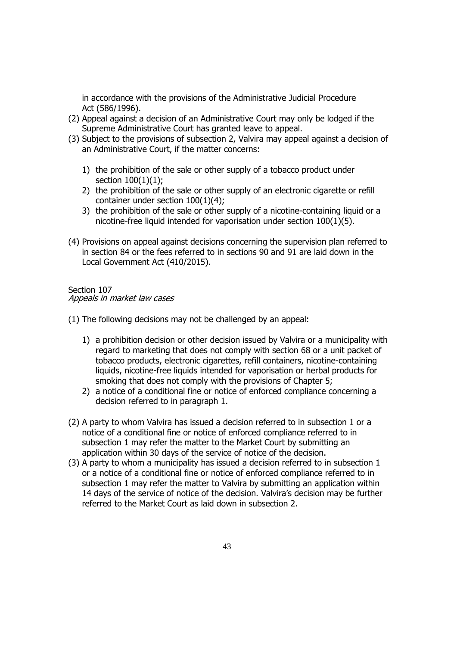in accordance with the provisions of the Administrative Judicial Procedure Act (586/1996).

- (2) Appeal against a decision of an Administrative Court may only be lodged if the Supreme Administrative Court has granted leave to appeal.
- (3) Subject to the provisions of subsection 2, Valvira may appeal against a decision of an Administrative Court, if the matter concerns:
	- 1) the prohibition of the sale or other supply of a tobacco product under section  $100(1)(1)$ ;
	- 2) the prohibition of the sale or other supply of an electronic cigarette or refill container under section 100(1)(4);
	- 3) the prohibition of the sale or other supply of a nicotine-containing liquid or a nicotine-free liquid intended for vaporisation under section 100(1)(5).
- (4) Provisions on appeal against decisions concerning the supervision plan referred to in section 84 or the fees referred to in sections 90 and 91 are laid down in the Local Government Act (410/2015).

### Section 107 Appeals in market law cases

(1) The following decisions may not be challenged by an appeal:

- 1) a prohibition decision or other decision issued by Valvira or a municipality with regard to marketing that does not comply with section 68 or a unit packet of tobacco products, electronic cigarettes, refill containers, nicotine-containing liquids, nicotine-free liquids intended for vaporisation or herbal products for smoking that does not comply with the provisions of Chapter 5;
- 2) a notice of a conditional fine or notice of enforced compliance concerning a decision referred to in paragraph 1.
- (2) A party to whom Valvira has issued a decision referred to in subsection 1 or a notice of a conditional fine or notice of enforced compliance referred to in subsection 1 may refer the matter to the Market Court by submitting an application within 30 days of the service of notice of the decision.
- (3) A party to whom a municipality has issued a decision referred to in subsection 1 or a notice of a conditional fine or notice of enforced compliance referred to in subsection 1 may refer the matter to Valvira by submitting an application within 14 days of the service of notice of the decision. Valvira's decision may be further referred to the Market Court as laid down in subsection 2.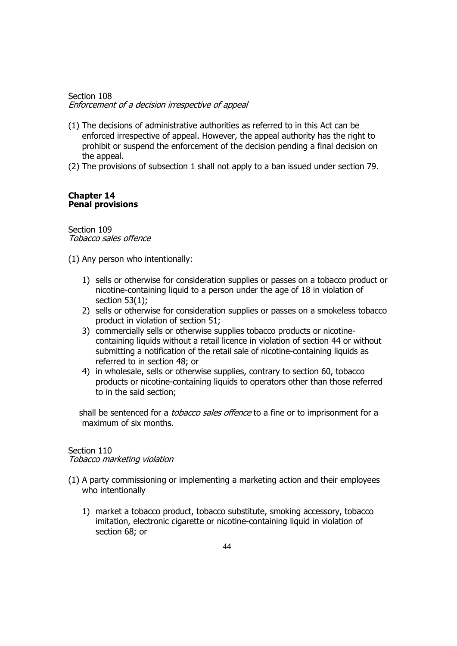## Section 108 Enforcement of a decision irrespective of appeal

- (1) The decisions of administrative authorities as referred to in this Act can be enforced irrespective of appeal. However, the appeal authority has the right to prohibit or suspend the enforcement of the decision pending a final decision on the appeal.
- (2) The provisions of subsection 1 shall not apply to a ban issued under section 79.

#### **Chapter 14 Penal provisions**

Section 109 Tobacco sales offence

(1) Any person who intentionally:

- 1) sells or otherwise for consideration supplies or passes on a tobacco product or nicotine-containing liquid to a person under the age of 18 in violation of section 53(1);
- 2) sells or otherwise for consideration supplies or passes on a smokeless tobacco product in violation of section 51;
- 3) commercially sells or otherwise supplies tobacco products or nicotinecontaining liquids without a retail licence in violation of section 44 or without submitting a notification of the retail sale of nicotine-containing liquids as referred to in section 48; or
- 4) in wholesale, sells or otherwise supplies, contrary to section 60, tobacco products or nicotine-containing liquids to operators other than those referred to in the said section;

shall be sentenced for a *tobacco sales offence* to a fine or to imprisonment for a maximum of six months.

#### Section 110

Tobacco marketing violation

- (1) A party commissioning or implementing a marketing action and their employees who intentionally
	- 1) market a tobacco product, tobacco substitute, smoking accessory, tobacco imitation, electronic cigarette or nicotine-containing liquid in violation of section 68; or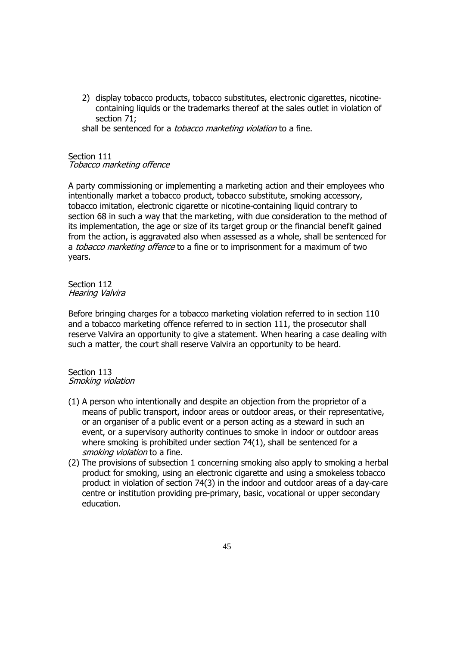2) display tobacco products, tobacco substitutes, electronic cigarettes, nicotinecontaining liquids or the trademarks thereof at the sales outlet in violation of section 71;

shall be sentenced for a *tobacco marketing violation* to a fine.

## Section 111 Tobacco marketing offence

A party commissioning or implementing a marketing action and their employees who intentionally market a tobacco product, tobacco substitute, smoking accessory, tobacco imitation, electronic cigarette or nicotine-containing liquid contrary to section 68 in such a way that the marketing, with due consideration to the method of its implementation, the age or size of its target group or the financial benefit gained from the action, is aggravated also when assessed as a whole, shall be sentenced for a tobacco marketing offence to a fine or to imprisonment for a maximum of two years.

Section 112 Hearing Valvira

Before bringing charges for a tobacco marketing violation referred to in section 110 and a tobacco marketing offence referred to in section 111, the prosecutor shall reserve Valvira an opportunity to give a statement. When hearing a case dealing with such a matter, the court shall reserve Valvira an opportunity to be heard.

#### Section 113 Smoking violation

- (1) A person who intentionally and despite an objection from the proprietor of a means of public transport, indoor areas or outdoor areas, or their representative, or an organiser of a public event or a person acting as a steward in such an event, or a supervisory authority continues to smoke in indoor or outdoor areas where smoking is prohibited under section 74(1), shall be sentenced for a smoking violation to a fine.
- (2) The provisions of subsection 1 concerning smoking also apply to smoking a herbal product for smoking, using an electronic cigarette and using a smokeless tobacco product in violation of section 74(3) in the indoor and outdoor areas of a day-care centre or institution providing pre-primary, basic, vocational or upper secondary education.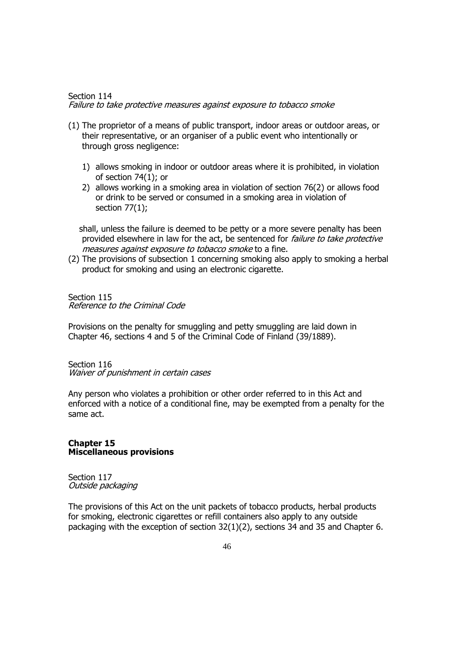#### Section 114 Failure to take protective measures against exposure to tobacco smoke

- (1) The proprietor of a means of public transport, indoor areas or outdoor areas, or their representative, or an organiser of a public event who intentionally or through gross negligence:
	- 1) allows smoking in indoor or outdoor areas where it is prohibited, in violation of section 74(1); or
	- 2) allows working in a smoking area in violation of section 76(2) or allows food or drink to be served or consumed in a smoking area in violation of section 77(1);

shall, unless the failure is deemed to be petty or a more severe penalty has been provided elsewhere in law for the act, be sentenced for *failure to take protective* measures against exposure to tobacco smoke to a fine.

(2) The provisions of subsection 1 concerning smoking also apply to smoking a herbal product for smoking and using an electronic cigarette.

Section 115 Reference to the Criminal Code

Provisions on the penalty for smuggling and petty smuggling are laid down in Chapter 46, sections 4 and 5 of the Criminal Code of Finland (39/1889).

Section 116 Waiver of punishment in certain cases

Any person who violates a prohibition or other order referred to in this Act and enforced with a notice of a conditional fine, may be exempted from a penalty for the same act.

## **Chapter 15 Miscellaneous provisions**

Section 117 Outside packaging

The provisions of this Act on the unit packets of tobacco products, herbal products for smoking, electronic cigarettes or refill containers also apply to any outside packaging with the exception of section 32(1)(2), sections 34 and 35 and Chapter 6.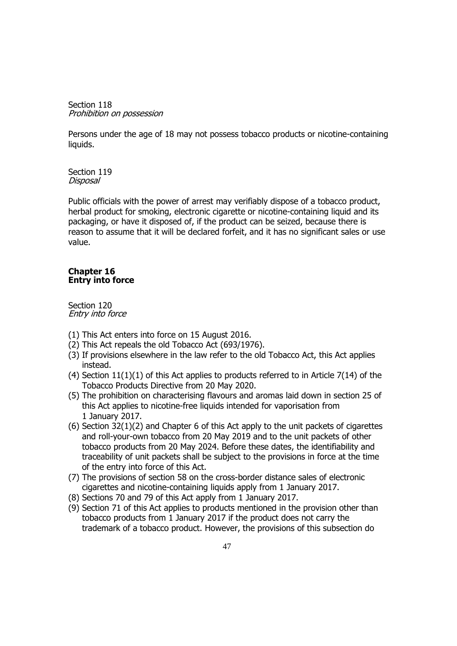Section 118 Prohibition on possession

Persons under the age of 18 may not possess tobacco products or nicotine-containing liquids.

Section 119 Disposal

Public officials with the power of arrest may verifiably dispose of a tobacco product, herbal product for smoking, electronic cigarette or nicotine-containing liquid and its packaging, or have it disposed of, if the product can be seized, because there is reason to assume that it will be declared forfeit, and it has no significant sales or use value.

#### **Chapter 16 Entry into force**

Section 120 Entry into force

- (1) This Act enters into force on 15 August 2016.
- (2) This Act repeals the old Tobacco Act (693/1976).
- (3) If provisions elsewhere in the law refer to the old Tobacco Act, this Act applies instead.
- (4) Section  $11(1)(1)$  of this Act applies to products referred to in Article 7(14) of the Tobacco Products Directive from 20 May 2020.
- (5) The prohibition on characterising flavours and aromas laid down in section 25 of this Act applies to nicotine-free liquids intended for vaporisation from 1 January 2017.
- (6) Section 32(1)(2) and Chapter 6 of this Act apply to the unit packets of cigarettes and roll-your-own tobacco from 20 May 2019 and to the unit packets of other tobacco products from 20 May 2024. Before these dates, the identifiability and traceability of unit packets shall be subject to the provisions in force at the time of the entry into force of this Act.
- (7) The provisions of section 58 on the cross-border distance sales of electronic cigarettes and nicotine-containing liquids apply from 1 January 2017.
- (8) Sections 70 and 79 of this Act apply from 1 January 2017.
- (9) Section 71 of this Act applies to products mentioned in the provision other than tobacco products from 1 January 2017 if the product does not carry the trademark of a tobacco product. However, the provisions of this subsection do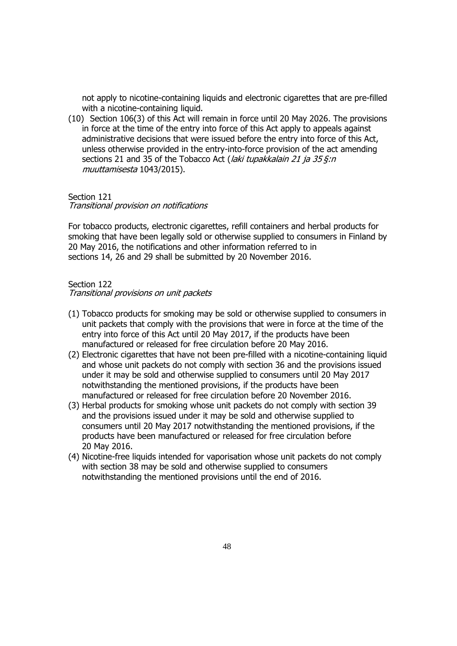not apply to nicotine-containing liquids and electronic cigarettes that are pre-filled with a nicotine-containing liquid.

(10) Section 106(3) of this Act will remain in force until 20 May 2026. The provisions in force at the time of the entry into force of this Act apply to appeals against administrative decisions that were issued before the entry into force of this Act, unless otherwise provided in the entry-into-force provision of the act amending sections 21 and 35 of the Tobacco Act (*laki tupakkalain 21 ja 35 §:n* muuttamisesta 1043/2015).

#### Section 121

Transitional provision on notifications

For tobacco products, electronic cigarettes, refill containers and herbal products for smoking that have been legally sold or otherwise supplied to consumers in Finland by 20 May 2016, the notifications and other information referred to in sections 14, 26 and 29 shall be submitted by 20 November 2016.

#### Section 122

Transitional provisions on unit packets

- (1) Tobacco products for smoking may be sold or otherwise supplied to consumers in unit packets that comply with the provisions that were in force at the time of the entry into force of this Act until 20 May 2017, if the products have been manufactured or released for free circulation before 20 May 2016.
- (2) Electronic cigarettes that have not been pre-filled with a nicotine-containing liquid and whose unit packets do not comply with section 36 and the provisions issued under it may be sold and otherwise supplied to consumers until 20 May 2017 notwithstanding the mentioned provisions, if the products have been manufactured or released for free circulation before 20 November 2016.
- (3) Herbal products for smoking whose unit packets do not comply with section 39 and the provisions issued under it may be sold and otherwise supplied to consumers until 20 May 2017 notwithstanding the mentioned provisions, if the products have been manufactured or released for free circulation before 20 May 2016.
- (4) Nicotine-free liquids intended for vaporisation whose unit packets do not comply with section 38 may be sold and otherwise supplied to consumers notwithstanding the mentioned provisions until the end of 2016.